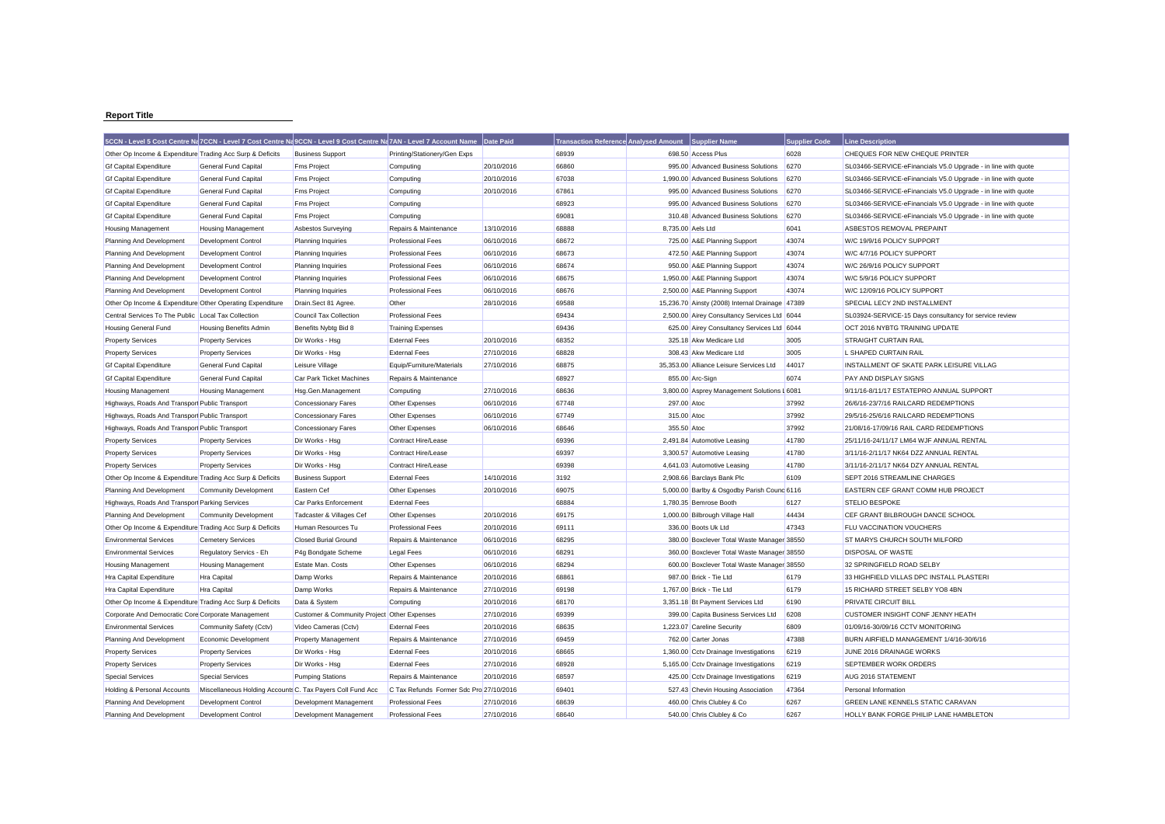## **Report Title**

|                                                           |                                                            | 5CCN - Level 5 Cost Centre Na 7CCN - Level 7 Cost Centre Na 9CCN - Level 9 Cost Centre Na 7AN - Level 7 Account Name |                                         | Date Paid  | <b>Transaction Reference Analysed Amount</b> |                   | Supplier Name                                   | <b>Supplier Code</b> | <b>Line Description</b>                                       |
|-----------------------------------------------------------|------------------------------------------------------------|----------------------------------------------------------------------------------------------------------------------|-----------------------------------------|------------|----------------------------------------------|-------------------|-------------------------------------------------|----------------------|---------------------------------------------------------------|
| Other Op Income & Expenditure Trading Acc Surp & Deficits |                                                            | <b>Business Support</b>                                                                                              | Printing/Stationery/Gen Exps            |            | 68939                                        |                   | 698.50 Access Plus                              | 6028                 | CHEQUES FOR NEW CHEQUE PRINTER                                |
| <b>Gf Capital Expenditure</b>                             | <b>General Fund Capital</b>                                | <b>Fms Project</b>                                                                                                   | Computing                               | 20/10/2016 | 66860                                        |                   | 995.00 Advanced Business Solutions              | 6270                 | SL03466-SERVICE-eFinancials V5.0 Upgrade - in line with quote |
| <b>Gf Capital Expenditure</b>                             | <b>General Fund Capital</b>                                | <b>Fms Project</b>                                                                                                   | Computing                               | 20/10/2016 | 67038                                        |                   | 1.990.00 Advanced Business Solutions            | 6270                 | SL03466-SERVICE-eFinancials V5.0 Upgrade - in line with quote |
| <b>Gf Capital Expenditure</b>                             | <b>General Fund Capital</b>                                | <b>Fms Project</b>                                                                                                   | Computing                               | 20/10/2016 | 67861                                        |                   | 995.00 Advanced Business Solutions              | 6270                 | SL03466-SERVICE-eFinancials V5.0 Upgrade - in line with quote |
| <b>Gf Capital Expenditure</b>                             | General Fund Capital                                       | <b>Fms Project</b>                                                                                                   | Computing                               |            | 68923                                        |                   | 995.00 Advanced Business Solutions              | 6270                 | SL03466-SERVICE-eFinancials V5.0 Upgrade - in line with quote |
| <b>Gf Capital Expenditure</b>                             | General Fund Capital                                       | <b>Fms Project</b>                                                                                                   | Computing                               |            | 69081                                        |                   | 310.48 Advanced Business Solutions              | 6270                 | SL03466-SERVICE-eFinancials V5.0 Upgrade - in line with quote |
| <b>Housing Management</b>                                 | <b>Housing Management</b>                                  | <b>Asbestos Surveying</b>                                                                                            | Repairs & Maintenance                   | 13/10/2016 | 68888                                        | 8,735.00 Aels Ltd |                                                 | 6041                 | ASBESTOS REMOVAL PREPAINT                                     |
| Planning And Development                                  | <b>Development Control</b>                                 | Planning Inquiries                                                                                                   | <b>Professional Fees</b>                | 06/10/2016 | 68672                                        |                   | 725.00 A&E Planning Support                     | 43074                | W/C 19/9/16 POLICY SUPPORT                                    |
| Planning And Development                                  | <b>Development Control</b>                                 | <b>Planning Inquiries</b>                                                                                            | <b>Professional Fees</b>                | 06/10/2016 | 68673                                        |                   | 472.50 A&E Planning Support                     | 43074                | W/C 4/7/16 POLICY SUPPORT                                     |
| Planning And Development                                  | Development Control                                        | Planning Inquiries                                                                                                   | <b>Professional Fees</b>                | 06/10/2016 | 68674                                        |                   | 950.00 A&E Planning Support                     | 43074                | W/C 26/9/16 POLICY SUPPORT                                    |
| Planning And Development                                  | <b>Development Control</b>                                 | Planning Inquiries                                                                                                   | <b>Professional Fees</b>                | 06/10/2016 | 68675                                        |                   | 1,950.00 A&E Planning Support                   | 43074                | W/C 5/9/16 POLICY SUPPORT                                     |
| Planning And Development                                  | Development Control                                        | <b>Planning Inquiries</b>                                                                                            | <b>Professional Fees</b>                | 06/10/2016 | 68676                                        |                   | 2,500.00 A&E Planning Support                   | 43074                | W/C 12/09/16 POLICY SUPPORT                                   |
| Other Op Income & Expenditure Other Operating Expenditure |                                                            | Drain.Sect 81 Agree.                                                                                                 | Other                                   | 28/10/2016 | 69588                                        |                   | 15,236.70 Ainsty (2008) Internal Drainage 47389 |                      | SPECIAL LECY 2ND INSTALLMENT                                  |
| Central Services To The Public Local Tax Collection       |                                                            | <b>Council Tax Collection</b>                                                                                        | <b>Professional Fees</b>                |            | 69434                                        |                   | 2,500.00 Airey Consultancy Services Ltd 6044    |                      | SL03924-SERVICE-15 Days consultancy for service review        |
| <b>Housing General Fund</b>                               | <b>Housing Benefits Admin</b>                              | Benefits Nybtg Bid 8                                                                                                 | <b>Training Expenses</b>                |            | 69436                                        |                   | 625.00 Airey Consultancy Services Ltd 6044      |                      | OCT 2016 NYBTG TRAINING UPDATE                                |
| <b>Property Services</b>                                  | <b>Property Services</b>                                   | Dir Works - Hsg                                                                                                      | <b>External Fees</b>                    | 20/10/2016 | 68352                                        |                   | 325.18 Akw Medicare Ltd                         | 3005                 | <b>STRAIGHT CURTAIN RAIL</b>                                  |
| <b>Property Services</b>                                  | <b>Property Services</b>                                   | Dir Works - Hsg                                                                                                      | <b>External Fees</b>                    | 27/10/2016 | 68828                                        |                   | 308.43 Akw Medicare Ltd                         | 3005                 | L SHAPED CURTAIN RAIL                                         |
| <b>Gf Capital Expenditure</b>                             | General Fund Capital                                       | Leisure Village                                                                                                      | Equip/Furniture/Materials               | 27/10/2016 | 68875                                        |                   | 35,353.00 Alliance Leisure Services Ltd         | 44017                | INSTALLMENT OF SKATE PARK LEISURE VILLAG                      |
| <b>Gf Capital Expenditure</b>                             | General Fund Capital                                       | Car Park Ticket Machines                                                                                             | Repairs & Maintenance                   |            | 68927                                        |                   | 855.00 Arc-Sign                                 | 6074                 | <b>PAY AND DISPLAY SIGNS</b>                                  |
| <b>Housing Management</b>                                 | <b>Housing Management</b>                                  | Hsg.Gen.Management                                                                                                   | Computing                               | 27/10/2016 | 68636                                        |                   | 3,800.00 Asprey Management Solutions I 6081     |                      | 9/11/16-8/11/17 ESTATEPRO ANNUAL SUPPORT                      |
| Highways, Roads And Transport Public Transport            |                                                            | <b>Concessionary Fares</b>                                                                                           | Other Expenses                          | 06/10/2016 | 67748                                        | 297.00 Atoc       |                                                 | 37992                | 26/6/16-23/7/16 RAILCARD REDEMPTIONS                          |
| Highways, Roads And Transpor Public Transport             |                                                            | <b>Concessionary Fares</b>                                                                                           | Other Expenses                          | 06/10/2016 | 67749                                        | 315.00 Atoc       |                                                 | 37992                | 29/5/16-25/6/16 RAILCARD REDEMPTIONS                          |
| Highways, Roads And Transport Public Transport            |                                                            | <b>Concessionary Fares</b>                                                                                           | Other Expenses                          | 06/10/2016 | 68646                                        | 355.50 Atoc       |                                                 | 37992                | 21/08/16-17/09/16 RAIL CARD REDEMPTIONS                       |
| <b>Property Services</b>                                  | <b>Property Services</b>                                   | Dir Works - Hsg                                                                                                      | Contract Hire/Lease                     |            | 69396                                        |                   | 2,491.84 Automotive Leasing                     | 41780                | 25/11/16-24/11/17 LM64 WJF ANNUAL RENTAL                      |
| <b>Property Services</b>                                  | <b>Property Services</b>                                   | Dir Works - Hsg                                                                                                      | Contract Hire/Lease                     |            | 69397                                        |                   | 3,300.57 Automotive Leasing                     | 41780                | 3/11/16-2/11/17 NK64 DZZ ANNUAL RENTAL                        |
| <b>Property Services</b>                                  | <b>Property Services</b>                                   | Dir Works - Hsg                                                                                                      | Contract Hire/Lease                     |            | 69398                                        |                   | 4,641.03 Automotive Leasing                     | 41780                | 3/11/16-2/11/17 NK64 DZY ANNUAL RENTAL                        |
| Other Op Income & Expenditure Trading Acc Surp & Deficits |                                                            | <b>Business Support</b>                                                                                              | <b>External Fees</b>                    | 14/10/2016 | 3192                                         |                   | 2,908.66 Barclays Bank Plc                      | 6109                 | SEPT 2016 STREAMLINE CHARGES                                  |
| Planning And Development                                  | <b>Community Development</b>                               | Eastern Cef                                                                                                          | Other Expenses                          | 20/10/2016 | 69075                                        |                   | 5,000.00 Barlby & Osgodby Parish Counc 6116     |                      | EASTERN CEF GRANT COMM HUB PROJECT                            |
| Highways, Roads And Transpor Parking Services             |                                                            | Car Parks Enforcement                                                                                                | <b>External Fees</b>                    |            | 68884                                        |                   | 1,780.35 Bemrose Booth                          | 6127                 | <b>STELIO BESPOKE</b>                                         |
| Planning And Development                                  | <b>Community Development</b>                               | Tadcaster & Villages Cef                                                                                             | Other Expenses                          | 20/10/2016 | 69175                                        |                   | 1,000.00 Bilbrough Village Hall                 | 44434                | CEF GRANT BILBROUGH DANCE SCHOOL                              |
| Other Op Income & Expenditure Trading Acc Surp & Deficits |                                                            | Human Resources Tu                                                                                                   | <b>Professional Fees</b>                | 20/10/2016 | 69111                                        |                   | 336.00 Boots Uk Ltd                             | 47343                | FLU VACCINATION VOUCHERS                                      |
| <b>Environmental Services</b>                             | <b>Cemetery Services</b>                                   | <b>Closed Burial Ground</b>                                                                                          | Repairs & Maintenance                   | 06/10/2016 | 68295                                        |                   | 380.00 Boxclever Total Waste Manager 38550      |                      | ST MARYS CHURCH SOUTH MILFORD                                 |
| <b>Environmental Services</b>                             | Regulatory Servics - Eh                                    | P4g Bondgate Scheme                                                                                                  | Legal Fees                              | 06/10/2016 | 68291                                        |                   | 360.00 Boxclever Total Waste Manager 38550      |                      | <b>DISPOSAL OF WASTE</b>                                      |
| <b>Housing Management</b>                                 | <b>Housing Management</b>                                  | Estate Man. Costs                                                                                                    | Other Expenses                          | 06/10/2016 | 68294                                        |                   | 600.00 Boxclever Total Waste Manager 38550      |                      | 32 SPRINGFIELD ROAD SELBY                                     |
| Hra Capital Expenditure                                   | <b>Hra Capital</b>                                         | Damp Works                                                                                                           | Repairs & Maintenance                   | 20/10/2016 | 68861                                        |                   | 987.00 Brick - Tie Ltd                          | 6179                 | 33 HIGHFIELD VILLAS DPC INSTALL PLASTERI                      |
| <b>Hra Capital Expenditure</b>                            | Hra Capital                                                | Damp Works                                                                                                           | Repairs & Maintenance                   | 27/10/2016 | 69198                                        |                   | 1.767.00 Brick - Tie Ltd                        | 6179                 | 15 RICHARD STREET SELBY YO8 4BN                               |
| Other Op Income & Expenditure Trading Acc Surp & Deficits |                                                            | Data & System                                                                                                        | Computing                               | 20/10/2016 | 68170                                        |                   | 3,351.18 Bt Payment Services Ltd                | 6190                 | <b>PRIVATE CIRCUIT BILL</b>                                   |
| Corporate And Democratic Core Corporate Management        |                                                            | Customer & Community Project Other Expenses                                                                          |                                         | 27/10/2016 | 69399                                        |                   | 399.00 Capita Business Services Ltd             | 6208                 | CUSTOMER INSIGHT CONF JENNY HEATH                             |
| <b>Environmental Services</b>                             | Community Safety (Cctv)                                    | Video Cameras (Cctv)                                                                                                 | <b>External Fees</b>                    | 20/10/2016 | 68635                                        |                   | 1,223.07 Careline Security                      | 6809                 | 01/09/16-30/09/16 CCTV MONITORING                             |
| Planning And Development                                  | Economic Development                                       | <b>Property Management</b>                                                                                           | Repairs & Maintenance                   | 27/10/2016 | 69459                                        |                   | 762.00 Carter Jonas                             | 47388                | BURN AIRFIELD MANAGEMENT 1/4/16-30/6/16                       |
| <b>Property Services</b>                                  | <b>Property Services</b>                                   | Dir Works - Hsg                                                                                                      | <b>External Fees</b>                    | 20/10/2016 | 68665                                        |                   | 1,360.00 Cctv Drainage Investigations           | 6219                 | JUNE 2016 DRAINAGE WORKS                                      |
| <b>Property Services</b>                                  | <b>Property Services</b>                                   | Dir Works - Hsg                                                                                                      | <b>External Fees</b>                    | 27/10/2016 | 68928                                        |                   | 5,165.00 Cctv Drainage Investigations           | 6219                 | SEPTEMBER WORK ORDERS                                         |
| <b>Special Services</b>                                   | <b>Special Services</b>                                    | <b>Pumping Stations</b>                                                                                              | Repairs & Maintenance                   | 20/10/2016 | 68597                                        |                   | 425.00 Cctv Drainage Investigations             | 6219                 | AUG 2016 STATEMENT                                            |
| Holding & Personal Accounts                               | Miscellaneous Holding Accounts C. Tax Payers Coll Fund Acc |                                                                                                                      | C Tax Refunds Former Sdc Pro 27/10/2016 |            | 69401                                        |                   | 527.43 Chevin Housing Association               | 47364                | Personal Information                                          |
| Planning And Development                                  | Development Control                                        | Development Management                                                                                               | <b>Professional Fees</b>                | 27/10/2016 | 68639                                        |                   | 460.00 Chris Clubley & Co                       | 6267                 | GREEN LANE KENNELS STATIC CARAVAN                             |
| Planning And Development                                  | <b>Development Control</b>                                 | Development Management                                                                                               | <b>Professional Fees</b>                | 27/10/2016 | 68640                                        |                   | 540.00 Chris Clubley & Co                       | 6267                 | HOLLY BANK FORGE PHILIP LANE HAMBLETON                        |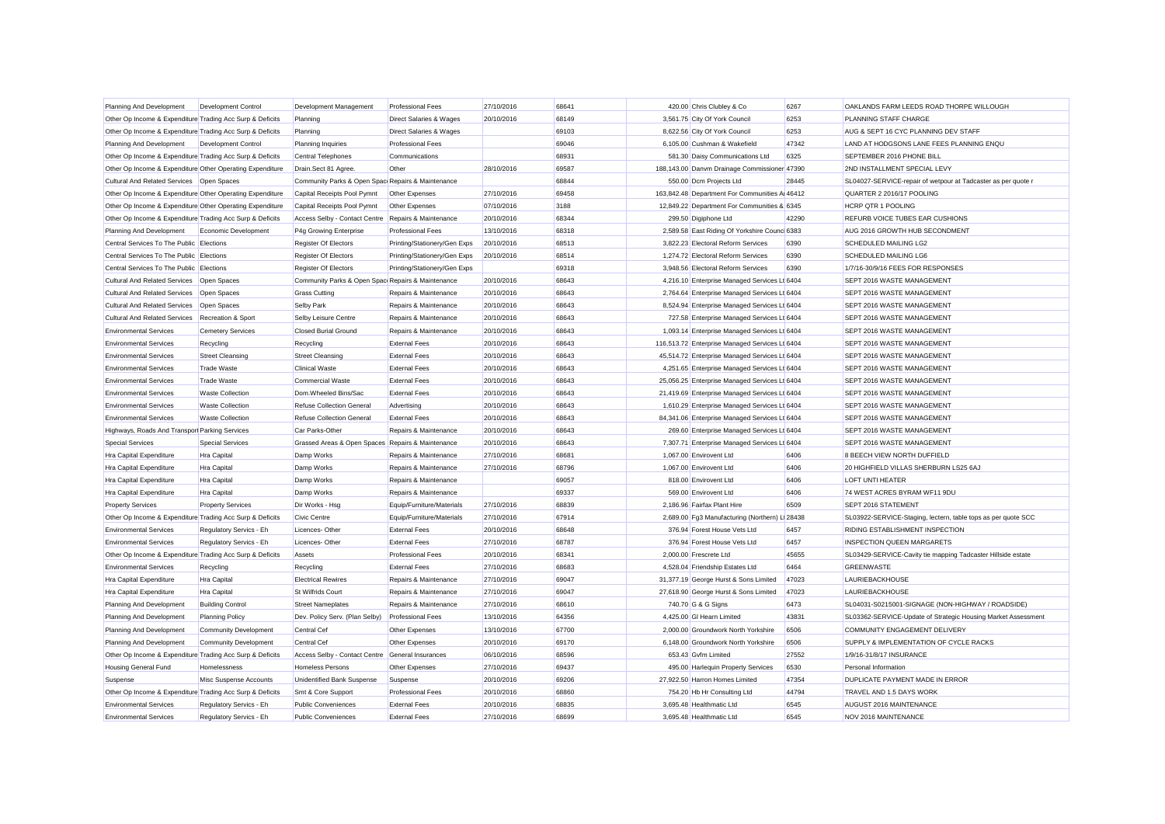| Planning And Development                                  | <b>Development Control</b>   | Development Management                              | <b>Professional Fees</b>           | 27/10/2016 | 68641 | 420.00 Chris Clubley & Co                      | 6267      | OAKLANDS FARM LEEDS ROAD THORPE WILLOUGH                      |
|-----------------------------------------------------------|------------------------------|-----------------------------------------------------|------------------------------------|------------|-------|------------------------------------------------|-----------|---------------------------------------------------------------|
| Other Op Income & Expenditure Trading Acc Surp & Deficits |                              | Planning                                            | <b>Direct Salaries &amp; Wages</b> | 20/10/2016 | 68149 | 3,561.75 City Of York Council                  | 6253      | PLANNING STAFF CHARGE                                         |
| Other Op Income & Expenditure Trading Acc Surp & Deficits |                              | Planning                                            | Direct Salaries & Wages            |            | 69103 | 8,622.56 City Of York Council                  | 6253      | AUG & SEPT 16 CYC PLANNING DEV STAFF                          |
| Planning And Development                                  | Development Control          | <b>Planning Inquiries</b>                           | <b>Professional Fees</b>           |            | 69046 | 6,105.00 Cushman & Wakefield                   | 47342     | LAND AT HODGSONS LANE FEES PLANNING ENQU                      |
| Other Op Income & Expenditure Trading Acc Surp & Deficits |                              | <b>Central Telephones</b>                           | Communications                     |            | 68931 | 581.30 Daisy Communications Ltd                | 6325      | SEPTEMBER 2016 PHONE BILL                                     |
| Other Op Income & Expenditure Other Operating Expenditure |                              | Drain.Sect 81 Agree.                                | Other                              | 28/10/2016 | 69587 | 188,143.00 Danvm Drainage Commissioner 47390   |           | 2ND INSTALLMENT SPECIAL LEVY                                  |
| Cultural And Related Services Open Spaces                 |                              | Community Parks & Open Spac Repairs & Maintenance   |                                    |            | 68844 | 550.00 Dcm Projects Ltd                        | 28445     | SL04027-SERVICE-repair of wetpour at Tadcaster as per quote r |
| Other Op Income & Expenditure Other Operating Expenditure |                              | Capital Receipts Pool Pymnt                         | Other Expenses                     | 27/10/2016 | 69458 | 163,842.48 Department For Communities A 46412  |           | QUARTER 2 2016/17 POOLING                                     |
| Other Op Income & Expenditure Other Operating Expenditure |                              | Capital Receipts Pool Pymnt                         | Other Expenses                     | 07/10/2016 | 3188  | 12,849.22 Department For Communities & 6345    |           | HCRP QTR 1 POOLING                                            |
| Other Op Income & Expenditure Trading Acc Surp & Deficits |                              | Access Selby - Contact Centre Repairs & Maintenance |                                    | 20/10/2016 | 68344 | 299.50 Digiphone Ltd                           | 42290     | REFURB VOICE TUBES EAR CUSHIONS                               |
| Planning And Development                                  | Economic Development         | P4g Growing Enterprise                              | <b>Professional Fees</b>           | 13/10/2016 | 68318 | 2,589.58 East Riding Of Yorkshire Counc 6383   |           | AUG 2016 GROWTH HUB SECONDMENT                                |
| Central Services To The Public Elections                  |                              | Register Of Electors                                | Printing/Stationery/Gen Exps       | 20/10/2016 | 68513 | 3,822.23 Electoral Reform Services             | 6390      | SCHEDULED MAILING LG2                                         |
| Central Services To The Public Elections                  |                              | Register Of Electors                                | Printing/Stationery/Gen Exps       | 20/10/2016 | 68514 | 1.274.72 Electoral Reform Services             | 6390      | SCHEDULED MAILING LG6                                         |
| Central Services To The Public Elections                  |                              | Register Of Electors                                | Printing/Stationery/Gen Exps       |            | 69318 | 3.948.56 Electoral Reform Services             | 6390      | 1/7/16-30/9/16 FEES FOR RESPONSES                             |
| <b>Cultural And Related Services</b>                      | Open Spaces                  | Community Parks & Open Spac Repairs & Maintenance   |                                    | 20/10/2016 | 68643 | 4,216.10 Enterprise Managed Services Lt 6404   |           | SEPT 2016 WASTE MANAGEMENT                                    |
| <b>Cultural And Related Services</b>                      | Open Spaces                  | <b>Grass Cutting</b>                                | Repairs & Maintenance              | 20/10/2016 | 68643 | 2,764.64 Enterprise Managed Services Lt 6404   |           | SEPT 2016 WASTE MANAGEMENT                                    |
| <b>Cultural And Related Services</b>                      | Open Spaces                  | Selby Park                                          | Repairs & Maintenance              | 20/10/2016 | 68643 | 8,524.94 Enterprise Managed Services Lt 6404   |           | SEPT 2016 WASTE MANAGEMENT                                    |
| <b>Cultural And Related Services</b>                      | Recreation & Sport           | Selby Leisure Centre                                | Repairs & Maintenance              | 20/10/2016 | 68643 | 727.58 Enterprise Managed Services Lt 6404     |           | SEPT 2016 WASTE MANAGEMENT                                    |
| <b>Environmental Services</b>                             | <b>Cemetery Services</b>     | <b>Closed Burial Ground</b>                         | Repairs & Maintenance              | 20/10/2016 | 68643 | 1,093.14 Enterprise Managed Services Lt 6404   |           | SEPT 2016 WASTE MANAGEMENT                                    |
| <b>Environmental Services</b>                             | Recycling                    | Recycling                                           | <b>External Fees</b>               | 20/10/2016 | 68643 | 116,513.72 Enterprise Managed Services Lt 6404 |           | SEPT 2016 WASTE MANAGEMENT                                    |
| <b>Environmental Services</b>                             | <b>Street Cleansing</b>      | <b>Street Cleansing</b>                             | <b>External Fees</b>               | 20/10/2016 | 68643 | 45,514.72 Enterprise Managed Services Lt 6404  |           | SEPT 2016 WASTE MANAGEMENT                                    |
| <b>Environmental Services</b>                             | <b>Trade Waste</b>           | <b>Clinical Waste</b>                               | <b>External Fees</b>               | 20/10/2016 | 68643 | 4,251.65 Enterprise Managed Services Lt 6404   |           | SEPT 2016 WASTE MANAGEMENT                                    |
| <b>Environmental Services</b>                             | <b>Trade Waste</b>           | <b>Commercial Waste</b>                             | <b>External Fees</b>               | 20/10/2016 | 68643 | 25,056.25 Enterprise Managed Services Lt 6404  |           | SEPT 2016 WASTE MANAGEMENT                                    |
| <b>Environmental Services</b>                             | <b>Waste Collection</b>      | Dom.Wheeled Bins/Sac                                | <b>External Fees</b>               | 20/10/2016 | 68643 | 21,419.69 Enterprise Managed Services Lt 6404  |           | SEPT 2016 WASTE MANAGEMENT                                    |
| <b>Environmental Services</b>                             | <b>Waste Collection</b>      | <b>Refuse Collection General</b>                    | Advertising                        | 20/10/2016 | 68643 | 1,610.29 Enterprise Managed Services Lt 6404   |           | SEPT 2016 WASTE MANAGEMENT                                    |
| <b>Environmental Services</b>                             | <b>Waste Collection</b>      | <b>Refuse Collection General</b>                    | <b>External Fees</b>               | 20/10/2016 | 68643 | 84,341.06 Enterprise Managed Services Lt 6404  |           | SEPT 2016 WASTE MANAGEMENT                                    |
| Highways, Roads And Transpor Parking Services             |                              | Car Parks-Other                                     | Repairs & Maintenance              | 20/10/2016 | 68643 | 269.60 Enterprise Managed Services Lt 6404     |           | SEPT 2016 WASTE MANAGEMENT                                    |
| <b>Special Services</b>                                   | <b>Special Services</b>      | Grassed Areas & Open Spaces Repairs & Maintenance   |                                    | 20/10/2016 | 68643 | 7,307.71 Enterprise Managed Services Lt 6404   |           | SEPT 2016 WASTE MANAGEMENT                                    |
| <b>Hra Capital Expenditure</b>                            | Hra Capital                  | Damp Works                                          | Repairs & Maintenance              | 27/10/2016 | 68681 | 1,067.00 Envirovent Ltd                        | 6406      | 8 BEECH VIEW NORTH DUFFIELD                                   |
| <b>Hra Capital Expenditure</b>                            | Hra Capital                  | Damp Works                                          | Repairs & Maintenance              | 27/10/2016 | 68796 | 1,067.00 Envirovent Ltd                        | 6406      | 20 HIGHFIELD VILLAS SHERBURN LS25 6AJ                         |
| <b>Hra Capital Expenditure</b>                            | Hra Capital                  | Damp Works                                          | Repairs & Maintenance              |            | 69057 | 818.00 Envirovent Ltd                          | 6406      | LOFT UNTI HEATER                                              |
| <b>Hra Capital Expenditure</b>                            | Hra Capital                  | Damp Works                                          | Repairs & Maintenance              |            | 69337 | 569.00 Envirovent Ltd                          | 6406      | 74 WEST ACRES BYRAM WF11 9DU                                  |
| <b>Property Services</b>                                  | <b>Property Services</b>     | Dir Works - Hsg                                     | Equip/Furniture/Materials          | 27/10/2016 | 68839 | 2,186.96 Fairfax Plant Hire                    | 6509      | SEPT 2016 STATEMENT                                           |
| Other Op Income & Expenditure Trading Acc Surp & Deficits |                              | Civic Centre                                        | Equip/Furniture/Materials          | 27/10/2016 | 67914 | 2,689.00 Fg3 Manufacturing (Northern)          | $L$ 28438 | SL03922-SERVICE-Staging, lectern, table tops as per quote SCC |
| <b>Environmental Services</b>                             | Regulatory Servics - Eh      | Licences-Other                                      | <b>External Fees</b>               | 20/10/2016 | 68648 | 376.94 Forest House Vets Ltd                   | 6457      | RIDING ESTABLISHMENT INSPECTION                               |
| <b>Environmental Services</b>                             | Regulatory Servics - Eh      | Licences-Other                                      | <b>External Fees</b>               | 27/10/2016 | 68787 | 376.94 Forest House Vets Ltd                   | 6457      | <b>INSPECTION QUEEN MARGARETS</b>                             |
| Other Op Income & Expenditure Trading Acc Surp & Deficits |                              | Assets                                              | <b>Professional Fees</b>           | 20/10/2016 | 68341 | 2,000.00 Frescrete Ltd                         | 45655     | SL03429-SERVICE-Cavity tie mapping Tadcaster Hillside estate  |
| <b>Environmental Services</b>                             | Recycling                    | Recycling                                           | <b>External Fees</b>               | 27/10/2016 | 68683 | 4,528.04 Friendship Estates Ltd                | 6464      | <b>GREENWASTE</b>                                             |
| Hra Capital Expenditure                                   | Hra Capital                  | <b>Electrical Rewires</b>                           | Repairs & Maintenance              | 27/10/2016 | 69047 | 31,377.19 George Hurst & Sons Limited          | 47023     | <b>LAURIEBACKHOUSE</b>                                        |
| <b>Hra Capital Expenditure</b>                            | <b>Hra Capital</b>           | St Wilfrids Court                                   | Repairs & Maintenance              | 27/10/2016 | 69047 | 27,618.90 George Hurst & Sons Limited          | 47023     | LAURIEBACKHOUSE                                               |
| Planning And Development                                  | <b>Building Control</b>      | <b>Street Nameplates</b>                            | Repairs & Maintenance              | 27/10/2016 | 68610 | 740.70 G & G Signs                             | 6473      | SL04031-S0215001-SIGNAGE (NON-HIGHWAY / ROADSIDE)             |
| Planning And Development                                  | <b>Planning Policy</b>       | Dev. Policy Serv. (Plan Selby)                      | <b>Professional Fees</b>           | 13/10/2016 | 64356 | 4,425.00 GI Hearn Limited                      | 43831     | SL03362-SERVICE-Update of Strategic Housing Market Assessment |
| Planning And Development                                  | <b>Community Development</b> | Central Cef                                         | Other Expenses                     | 13/10/2016 | 67700 | 2,000.00 Groundwork North Yorkshire            | 6506      | COMMUNITY ENGAGEMENT DELIVERY                                 |
| Planning And Development                                  | <b>Community Development</b> | Central Cef                                         | Other Expenses                     | 20/10/2016 | 69170 | 6,148.00 Groundwork North Yorkshire            | 6506      | SUPPLY & IMPLEMENTATION OF CYCLE RACKS                        |
| Other Op Income & Expenditure Trading Acc Surp & Deficits |                              | Access Selby - Contact Centre General Insurances    |                                    | 06/10/2016 | 68596 | 653.43 Gvfm Limited                            | 27552     | 1/9/16-31/8/17 INSURANCE                                      |
| <b>Housing General Fund</b>                               | Homelessness                 | <b>Homeless Persons</b>                             | Other Expenses                     | 27/10/2016 | 69437 | 495.00 Harlequin Property Services             | 6530      | Personal Information                                          |
| Suspense                                                  | Misc Suspense Accounts       | <b>Unidentified Bank Suspense</b>                   | Suspense                           | 20/10/2016 | 69206 | 27,922.50 Harron Homes Limited                 | 47354     | DUPLICATE PAYMENT MADE IN ERROR                               |
| Other Op Income & Expenditure Trading Acc Surp & Deficits |                              | Smt & Core Support                                  | <b>Professional Fees</b>           | 20/10/2016 | 68860 | 754.20 Hb Hr Consulting Ltd                    | 44794     | TRAVEL AND 1.5 DAYS WORK                                      |
| <b>Environmental Services</b>                             | Regulatory Servics - Eh      | <b>Public Conveniences</b>                          | <b>External Fees</b>               | 20/10/2016 | 68835 | 3.695.48 Healthmatic Ltd                       | 6545      | AUGUST 2016 MAINTENANCE                                       |
| <b>Environmental Services</b>                             | Regulatory Servics - Eh      | Public Conveniences                                 | <b>External Fees</b>               | 27/10/2016 | 68699 | 3.695.48 Healthmatic Ltd                       | 6545      | NOV 2016 MAINTENANCE                                          |
|                                                           |                              |                                                     |                                    |            |       |                                                |           |                                                               |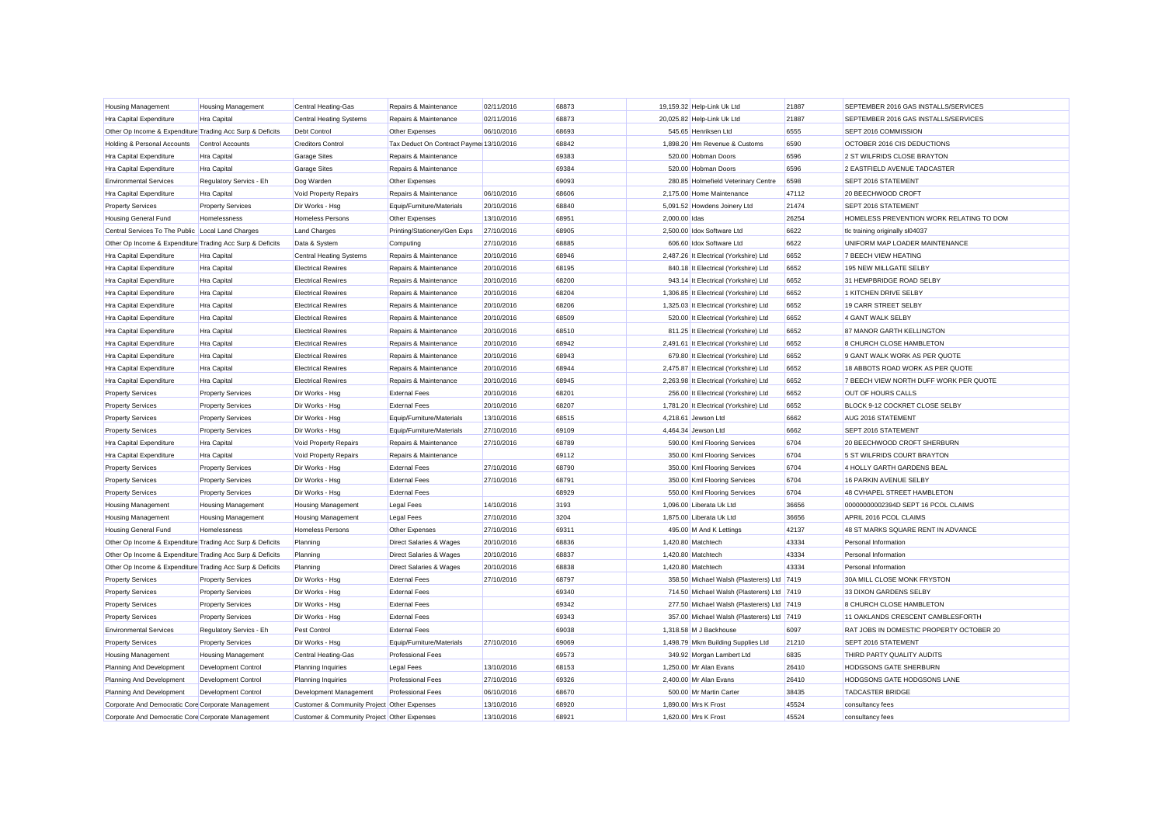| <b>Housing Management</b>                                 | <b>Housing Management</b>  | Central Heating-Gas                         | Repairs & Maintenance                   | 02/11/2016 | 68873 |               | 19,159.32 Help-Link Uk Ltd                 | 21887 | SEPTEMBER 2016 GAS INSTALLS/SERVICES     |
|-----------------------------------------------------------|----------------------------|---------------------------------------------|-----------------------------------------|------------|-------|---------------|--------------------------------------------|-------|------------------------------------------|
| Hra Capital Expenditure                                   | Hra Capital                | <b>Central Heating Systems</b>              | Repairs & Maintenance                   | 02/11/2016 | 68873 |               | 20,025.82 Help-Link Uk Ltd                 | 21887 | SEPTEMBER 2016 GAS INSTALLS/SERVICES     |
| Other Op Income & Expenditure Trading Acc Surp & Deficits |                            | Debt Control                                | Other Expenses                          | 06/10/2016 | 68693 |               | 545.65 Henriksen Ltd                       | 6555  | SEPT 2016 COMMISSION                     |
| Holding & Personal Accounts                               | <b>Control Accounts</b>    | <b>Creditors Control</b>                    | Tax Deduct On Contract Payme 13/10/2016 |            | 68842 |               | 1,898.20 Hm Revenue & Customs              | 6590  | OCTOBER 2016 CIS DEDUCTIONS              |
| Hra Capital Expenditure                                   | Hra Capital                | <b>Garage Sites</b>                         | Repairs & Maintenance                   |            | 69383 |               | 520.00 Hobman Doors                        | 6596  | 2 ST WILFRIDS CLOSE BRAYTON              |
| Hra Capital Expenditure                                   | Hra Capital                | <b>Garage Sites</b>                         | Repairs & Maintenance                   |            | 69384 |               | 520.00 Hobman Doors                        | 6596  | 2 EASTFIELD AVENUE TADCASTER             |
| <b>Environmental Services</b>                             | Regulatory Servics - Eh    | Dog Warden                                  | Other Expenses                          |            | 69093 |               | 280.85 Holmefield Veterinary Centre        | 6598  | SEPT 2016 STATEMENT                      |
| Hra Capital Expenditure                                   | Hra Capital                | Void Property Repairs                       | Repairs & Maintenance                   | 06/10/2016 | 68606 |               | 2,175.00 Home Maintenance                  | 47112 | 20 BEECHWOOD CROFT                       |
| <b>Property Services</b>                                  | <b>Property Services</b>   | Dir Works - Hsg                             | Equip/Furniture/Materials               | 20/10/2016 | 68840 |               | 5,091.52 Howdens Joinery Ltd               | 21474 | SEPT 2016 STATEMENT                      |
| Housing General Fund                                      | Homelessness               | Homeless Persons                            | Other Expenses                          | 13/10/2016 | 68951 | 2,000.00 Idas |                                            | 26254 | HOMELESS PREVENTION WORK RELATING TO DOM |
| Central Services To The Public Local Land Charges         |                            | <b>Land Charges</b>                         | Printing/Stationery/Gen Exps            | 27/10/2016 | 68905 |               | 2,500.00 Idox Software Ltd                 | 6622  | tlc training originally sl04037          |
| Other Op Income & Expenditure Trading Acc Surp & Deficits |                            | Data & System                               | Computing                               | 27/10/2016 | 68885 |               | 606.60 Idox Software Ltd                   | 6622  | UNIFORM MAP LOADER MAINTENANCE           |
| <b>Hra Capital Expenditure</b>                            | Hra Capital                | <b>Central Heating Systems</b>              | Repairs & Maintenance                   | 20/10/2016 | 68946 |               | 2,487.26 It Electrical (Yorkshire) Ltd     | 6652  | 7 BEECH VIEW HEATING                     |
| Hra Capital Expenditure                                   | Hra Capital                | <b>Electrical Rewires</b>                   | Repairs & Maintenance                   | 20/10/2016 | 68195 |               | 840.18 It Electrical (Yorkshire) Ltd       | 6652  | 195 NEW MILLGATE SELBY                   |
| Hra Capital Expenditure                                   | Hra Capital                | <b>Electrical Rewires</b>                   | Repairs & Maintenance                   | 20/10/2016 | 68200 |               | 943.14 It Electrical (Yorkshire) Ltd       | 6652  | 31 HEMPBRIDGE ROAD SELBY                 |
| Hra Capital Expenditure                                   | Hra Capital                | <b>Electrical Rewires</b>                   | Repairs & Maintenance                   | 20/10/2016 | 68204 |               | 1,306.85 It Electrical (Yorkshire) Ltd     | 6652  | 1 KITCHEN DRIVE SELBY                    |
| Hra Capital Expenditure                                   | Hra Capital                | <b>Electrical Rewires</b>                   | Repairs & Maintenance                   | 20/10/2016 | 68206 |               | 1,325.03 It Electrical (Yorkshire) Ltd     | 6652  | 19 CARR STREET SELBY                     |
| Hra Capital Expenditure                                   | Hra Capital                | <b>Electrical Rewires</b>                   | Repairs & Maintenance                   | 20/10/2016 | 68509 |               | 520.00 It Electrical (Yorkshire) Ltd       | 6652  | 4 GANT WALK SELBY                        |
| Hra Capital Expenditure                                   | Hra Capital                | <b>Electrical Rewires</b>                   | Repairs & Maintenance                   | 20/10/2016 | 68510 |               | 811.25 It Electrical (Yorkshire) Ltd       | 6652  | 87 MANOR GARTH KELLINGTON                |
| Hra Capital Expenditure                                   | Hra Capital                | <b>Electrical Rewires</b>                   | Repairs & Maintenance                   | 20/10/2016 | 68942 |               | 2,491.61 It Electrical (Yorkshire) Ltd     | 6652  | 8 CHURCH CLOSE HAMBLETON                 |
| Hra Capital Expenditure                                   | Hra Capital                | <b>Electrical Rewires</b>                   | Repairs & Maintenance                   | 20/10/2016 | 68943 |               | 679.80 It Electrical (Yorkshire) Ltd       | 6652  | 9 GANT WALK WORK AS PER QUOTE            |
| Hra Capital Expenditure                                   | Hra Capital                | <b>Electrical Rewires</b>                   | Repairs & Maintenance                   | 20/10/2016 | 68944 |               | 2,475.87 It Electrical (Yorkshire) Ltd     | 6652  | 18 ABBOTS ROAD WORK AS PER QUOTE         |
| Hra Capital Expenditure                                   | Hra Capital                | <b>Electrical Rewires</b>                   | Repairs & Maintenance                   | 20/10/2016 | 68945 |               | 2,263.98 It Electrical (Yorkshire) Ltd     | 6652  | 7 BEECH VIEW NORTH DUFF WORK PER QUOTE   |
| <b>Property Services</b>                                  | <b>Property Services</b>   | Dir Works - Hsg                             | <b>External Fees</b>                    | 20/10/2016 | 68201 |               | 256.00 It Electrical (Yorkshire) Ltd       | 6652  | OUT OF HOURS CALLS                       |
| <b>Property Services</b>                                  | <b>Property Services</b>   | Dir Works - Hsg                             | <b>External Fees</b>                    | 20/10/2016 | 68207 |               | 1,781.20 It Electrical (Yorkshire) Ltd     | 6652  | BLOCK 9-12 COCKRET CLOSE SELBY           |
| <b>Property Services</b>                                  | <b>Property Services</b>   | Dir Works - Hsg                             | Equip/Furniture/Materials               | 13/10/2016 | 68515 |               | 4.218.61 Jewson Ltd                        | 6662  | AUG 2016 STATEMENT                       |
| <b>Property Services</b>                                  | <b>Property Services</b>   | Dir Works - Hsg                             | Equip/Furniture/Materials               | 27/10/2016 | 69109 |               | 4.464.34 Jewson Ltd                        | 6662  | SEPT 2016 STATEMENT                      |
| Hra Capital Expenditure                                   | Hra Capital                | Void Property Repairs                       | Repairs & Maintenance                   | 27/10/2016 | 68789 |               | 590.00 Kml Flooring Services               | 6704  | 20 BEECHWOOD CROFT SHERBURN              |
| Hra Capital Expenditure                                   | Hra Capital                | Void Property Repairs                       | Repairs & Maintenance                   |            | 69112 |               | 350.00 Kml Flooring Services               | 6704  | 5 ST WILFRIDS COURT BRAYTON              |
| <b>Property Services</b>                                  | <b>Property Services</b>   | Dir Works - Hsg                             | <b>External Fees</b>                    | 27/10/2016 | 68790 |               | 350.00 Kml Flooring Services               | 6704  | 4 HOLLY GARTH GARDENS BEAL               |
| <b>Property Services</b>                                  | <b>Property Services</b>   | Dir Works - Hsg                             | <b>External Fees</b>                    | 27/10/2016 | 68791 |               | 350.00 Kml Flooring Services               | 6704  | 16 PARKIN AVENUE SELBY                   |
| <b>Property Services</b>                                  | <b>Property Services</b>   | Dir Works - Hsg                             | <b>External Fees</b>                    |            | 68929 |               | 550.00 Kml Flooring Services               | 6704  | 48 CVHAPEL STREET HAMBLETON              |
| <b>Housing Management</b>                                 | <b>Housing Management</b>  | <b>Housing Management</b>                   | <b>Legal Fees</b>                       | 14/10/2016 | 3193  |               | 1,096.00 Liberata Uk Ltd                   | 36656 | 00000000002394D SEPT 16 PCOL CLAIMS      |
| <b>Housing Management</b>                                 | <b>Housing Management</b>  | <b>Housing Management</b>                   | <b>Legal Fees</b>                       | 27/10/2016 | 3204  |               | 1,875.00 Liberata Uk Ltd                   | 36656 | APRIL 2016 PCOL CLAIMS                   |
| <b>Housing General Fund</b>                               | Homelessness               | <b>Homeless Persons</b>                     | Other Expenses                          | 27/10/2016 | 69311 |               | 495.00 M And K Lettings                    | 42137 | 48 ST MARKS SQUARE RENT IN ADVANCE       |
| Other Op Income & Expenditure Trading Acc Surp & Deficits |                            | Planning                                    | Direct Salaries & Wages                 | 20/10/2016 | 68836 |               | 1,420.80 Matchtech                         | 43334 | Personal Information                     |
| Other Op Income & Expenditure Trading Acc Surp & Deficits |                            | Planning                                    | Direct Salaries & Wages                 | 20/10/2016 | 68837 |               | 1,420.80 Matchtech                         | 43334 | Personal Information                     |
| Other Op Income & Expenditure Trading Acc Surp & Deficits |                            | Planning                                    | Direct Salaries & Wages                 | 20/10/2016 | 68838 |               | 1,420.80 Matchtech                         | 43334 | Personal Information                     |
| <b>Property Services</b>                                  | <b>Property Services</b>   | Dir Works - Hsg                             | <b>External Fees</b>                    | 27/10/2016 | 68797 |               | 358.50 Michael Walsh (Plasterers) Ltd 7419 |       | 30A MILL CLOSE MONK FRYSTON              |
| <b>Property Services</b>                                  | <b>Property Services</b>   | Dir Works - Hsg                             | <b>External Fees</b>                    |            | 69340 |               | 714.50 Michael Walsh (Plasterers) Ltd 7419 |       | 33 DIXON GARDENS SELBY                   |
| <b>Property Services</b>                                  | <b>Property Services</b>   | Dir Works - Hsg                             | <b>External Fees</b>                    |            | 69342 |               | 277.50 Michael Walsh (Plasterers) Ltd 7419 |       | 8 CHURCH CLOSE HAMBLETON                 |
| <b>Property Services</b>                                  | <b>Property Services</b>   | Dir Works - Hsg                             | <b>External Fees</b>                    |            | 69343 |               | 357.00 Michael Walsh (Plasterers) Ltd 7419 |       | 11 OAKLANDS CRESCENT CAMBLESFORTH        |
| <b>Environmental Services</b>                             | Regulatory Servics - Eh    | Pest Control                                | <b>External Fees</b>                    |            | 69038 |               | 1.318.58 M J Backhouse                     | 6097  | RAT JOBS IN DOMESTIC PROPERTY OCTOBER 20 |
| <b>Property Services</b>                                  | <b>Property Services</b>   | Dir Works - Hsg                             | Equip/Furniture/Materials               | 27/10/2016 | 69069 |               | 1,498.79 Mkm Building Supplies Ltd         | 21210 | SEPT 2016 STATEMENT                      |
| <b>Housing Management</b>                                 | <b>Housing Management</b>  | Central Heating-Gas                         | <b>Professional Fees</b>                |            | 69573 |               | 349.92 Morgan Lambert Ltd                  | 6835  | THIRD PARTY QUALITY AUDITS               |
| Planning And Development                                  | <b>Development Control</b> | <b>Planning Inquiries</b>                   | <b>Legal Fees</b>                       | 13/10/2016 | 68153 |               | 1,250.00 Mr Alan Evans                     | 26410 | <b>HODGSONS GATE SHERBURN</b>            |
| Planning And Development                                  | <b>Development Control</b> | <b>Planning Inquiries</b>                   | <b>Professional Fees</b>                | 27/10/2016 | 69326 |               | 2,400.00 Mr Alan Evans                     | 26410 | HODGSONS GATE HODGSONS LANE              |
| Planning And Development                                  | Development Control        | Development Management                      | <b>Professional Fees</b>                | 06/10/2016 | 68670 |               | 500.00 Mr Martin Carter                    | 38435 | <b>TADCASTER BRIDGE</b>                  |
| Corporate And Democratic Core Corporate Management        |                            | Customer & Community Project Other Expenses |                                         | 13/10/2016 | 68920 |               | 1.890.00 Mrs K Frost                       | 45524 | consultancy fees                         |
| Corporate And Democratic Core Corporate Management        |                            | Customer & Community Project Other Expenses |                                         | 13/10/2016 | 68921 |               | 1.620.00 Mrs K Frost                       | 45524 | consultancy fees                         |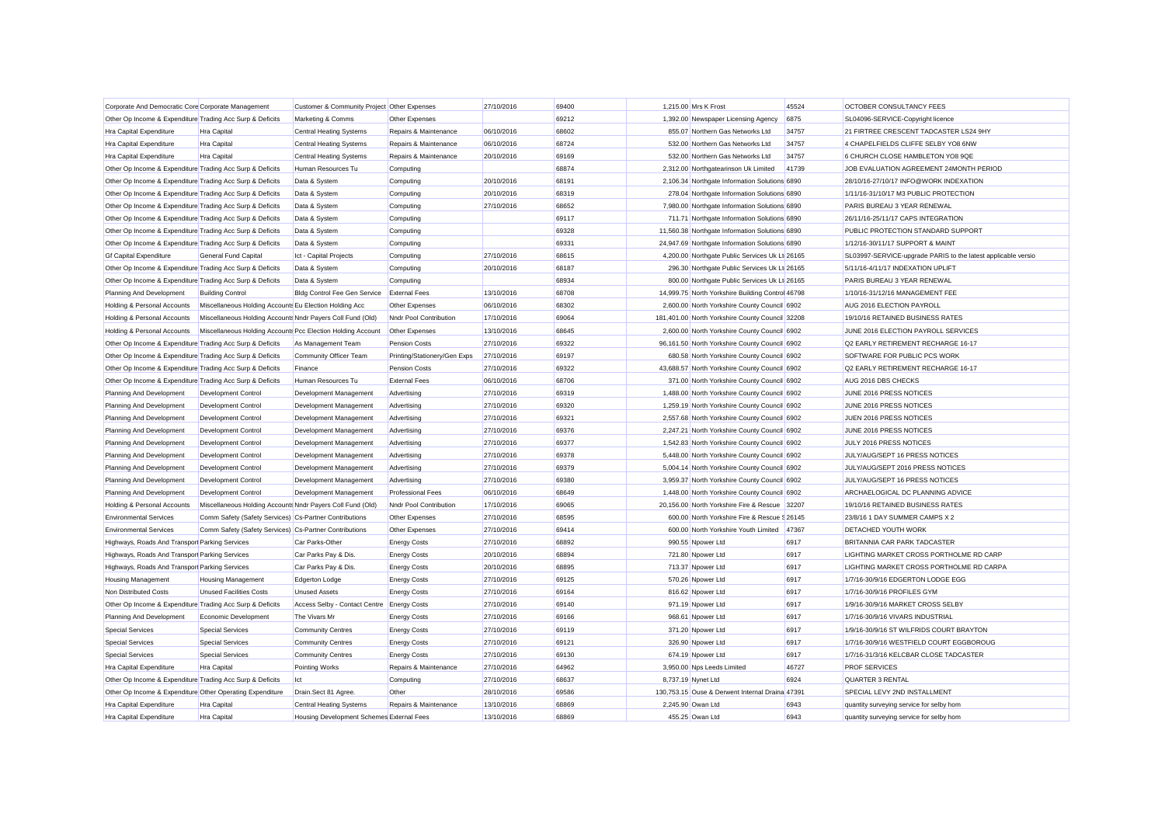| Corporate And Democratic Core Corporate Management        |                                                             | Customer & Community Project Other Expenses |                              | 27/10/2016 | 69400 |                   | 1,215.00 Mrs K Frost                             | 45524 | OCTOBER CONSULTANCY FEES                                      |
|-----------------------------------------------------------|-------------------------------------------------------------|---------------------------------------------|------------------------------|------------|-------|-------------------|--------------------------------------------------|-------|---------------------------------------------------------------|
| Other Op Income & Expenditure Trading Acc Surp & Deficits |                                                             | Marketing & Comms                           | Other Expenses               |            | 69212 |                   | 1,392.00 Newspaper Licensing Agency              | 6875  | SL04096-SERVICE-Copyright licence                             |
| <b>Hra Capital Expenditure</b>                            | Hra Capital                                                 | <b>Central Heating Systems</b>              | Repairs & Maintenance        | 06/10/2016 | 68602 |                   | 855.07 Northern Gas Networks Ltd                 | 34757 | 21 FIRTREE CRESCENT TADCASTER LS24 9HY                        |
| Hra Capital Expenditure                                   | Hra Capital                                                 | <b>Central Heating Systems</b>              | Repairs & Maintenance        | 06/10/2016 | 68724 |                   | 532.00 Northern Gas Networks Ltd                 | 34757 | 4 CHAPELFIELDS CLIFFE SELBY YO8 6NW                           |
| <b>Hra Capital Expenditure</b>                            | Hra Capital                                                 | <b>Central Heating Systems</b>              | Repairs & Maintenance        | 20/10/2016 | 69169 |                   | 532.00 Northern Gas Networks Ltd                 | 34757 | 6 CHURCH CLOSE HAMBLETON YO8 9QE                              |
| Other Op Income & Expenditure Trading Acc Surp & Deficits |                                                             | Human Resources Tu                          | Computing                    |            | 68874 |                   | 2,312.00 Northgatearinson Uk Limited             | 41739 | JOB EVALUATION AGREEMENT 24MONTH PERIOD                       |
| Other Op Income & Expenditure Trading Acc Surp & Deficits |                                                             | Data & System                               | Computing                    | 20/10/2016 | 68191 |                   | 2,106.34 Northgate Information Solutions 6890    |       | 28/10/16-27/10/17 INFO@WORK INDEXATION                        |
| Other Op Income & Expenditure Trading Acc Surp & Deficits |                                                             | Data & System                               | Computing                    | 20/10/2016 | 68319 |                   | 278.04 Northgate Information Solutions 6890      |       | 1/11/16-31/10/17 M3 PUBLIC PROTECTION                         |
| Other Op Income & Expenditure Trading Acc Surp & Deficits |                                                             | Data & System                               | Computing                    | 27/10/2016 | 68652 |                   | 7,980.00 Northgate Information Solutions 6890    |       | PARIS BUREAU 3 YEAR RENEWAL                                   |
| Other Op Income & Expenditure Trading Acc Surp & Deficits |                                                             | Data & System                               | Computing                    |            | 69117 |                   | 711.71 Northgate Information Solutions 6890      |       | 26/11/16-25/11/17 CAPS INTEGRATION                            |
| Other Op Income & Expenditure Trading Acc Surp & Deficits |                                                             | Data & System                               | Computing                    |            | 69328 |                   | 11,560.38 Northgate Information Solutions 6890   |       | PUBLIC PROTECTION STANDARD SUPPORT                            |
| Other Op Income & Expenditure Trading Acc Surp & Deficits |                                                             | Data & System                               | Computing                    |            | 69331 |                   | 24,947.69 Northgate Information Solutions 6890   |       | 1/12/16-30/11/17 SUPPORT & MAINT                              |
| <b>Gf Capital Expenditure</b>                             | <b>General Fund Capital</b>                                 | Ict - Capital Projects                      | Computing                    | 27/10/2016 | 68615 |                   | 4,200.00 Northgate Public Services Uk Lt 26165   |       | SL03997-SERVICE-upgrade PARIS to the latest applicable versio |
| Other Op Income & Expenditure Trading Acc Surp & Deficits |                                                             | Data & System                               | Computing                    | 20/10/2016 | 68187 |                   | 296.30 Northgate Public Services Uk Lt 26165     |       | 5/11/16-4/11/17 INDEXATION UPLIFT                             |
| Other Op Income & Expenditure Trading Acc Surp & Deficits |                                                             | Data & System                               | Computing                    |            | 68934 |                   | 800.00 Northgate Public Services Uk Lt 26165     |       | PARIS BUREAU 3 YEAR RENEWAL                                   |
| Planning And Development                                  | <b>Building Control</b>                                     | Bldg Control Fee Gen Service                | <b>External Fees</b>         | 13/10/2016 | 68708 |                   | 14,999.75 North Yorkshire Building Control 46798 |       | 1/10/16-31/12/16 MANAGEMENT FEE                               |
| Holding & Personal Accounts                               | Miscellaneous Holding Accounts Eu Election Holding Acc      |                                             | Other Expenses               | 06/10/2016 | 68302 |                   | 2,600.00 North Yorkshire County Council 6902     |       | AUG 2016 ELECTION PAYROLL                                     |
| Holding & Personal Accounts                               | Miscellaneous Holding Accounts Nndr Payers Coll Fund (Old)  |                                             | Nndr Pool Contribution       | 17/10/2016 | 69064 |                   | 181,401.00 North Yorkshire County Council 32208  |       | 19/10/16 RETAINED BUSINESS RATES                              |
| Holding & Personal Accounts                               | Miscellaneous Holding Accounts Pcc Election Holding Account |                                             | Other Expenses               | 13/10/2016 | 68645 |                   | 2,600.00 North Yorkshire County Council 6902     |       | JUNE 2016 ELECTION PAYROLL SERVICES                           |
| Other Op Income & Expenditure Trading Acc Surp & Deficits |                                                             | As Management Team                          | Pension Costs                | 27/10/2016 | 69322 |                   | 96,161.50 North Yorkshire County Council 6902    |       | Q2 EARLY RETIREMENT RECHARGE 16-17                            |
| Other Op Income & Expenditure Trading Acc Surp & Deficits |                                                             | Community Officer Team                      | Printing/Stationery/Gen Exps | 27/10/2016 | 69197 |                   | 680.58 North Yorkshire County Council 6902       |       | SOFTWARE FOR PUBLIC PCS WORK                                  |
| Other Op Income & Expenditure Trading Acc Surp & Deficits |                                                             | Finance                                     | Pension Costs                | 27/10/2016 | 69322 |                   | 43,688.57 North Yorkshire County Council 6902    |       | Q2 EARLY RETIREMENT RECHARGE 16-17                            |
| Other Op Income & Expenditure Trading Acc Surp & Deficits |                                                             | Human Resources Tu                          | <b>External Fees</b>         | 06/10/2016 | 68706 |                   | 371.00 North Yorkshire County Council 6902       |       | AUG 2016 DBS CHECKS                                           |
| Planning And Development                                  | <b>Development Control</b>                                  | Development Management                      | Advertising                  | 27/10/2016 | 69319 |                   | 1,488.00 North Yorkshire County Council 6902     |       | JUNE 2016 PRESS NOTICES                                       |
| Planning And Development                                  | Development Control                                         | Development Management                      | Advertising                  | 27/10/2016 | 69320 |                   | 1,259.19 North Yorkshire County Council 6902     |       | JUNE 2016 PRESS NOTICES                                       |
| Planning And Development                                  | Development Control                                         | Development Management                      | Advertising                  | 27/10/2016 | 69321 |                   | 2,557.68 North Yorkshire County Council 6902     |       | JUEN 2016 PRESS NOTICES                                       |
| Planning And Development                                  | Development Control                                         | Development Management                      | Advertising                  | 27/10/2016 | 69376 |                   | 2,247.21 North Yorkshire County Council 6902     |       | JUNE 2016 PRESS NOTICES                                       |
| Planning And Development                                  | Development Control                                         | Development Management                      | Advertising                  | 27/10/2016 | 69377 |                   | 1,542.83 North Yorkshire County Council 6902     |       | JULY 2016 PRESS NOTICES                                       |
| Planning And Development                                  | <b>Development Control</b>                                  | Development Management                      | Advertising                  | 27/10/2016 | 69378 |                   | 5,448.00 North Yorkshire County Council 6902     |       | JULY/AUG/SEPT 16 PRESS NOTICES                                |
| Planning And Development                                  | <b>Development Control</b>                                  | Development Management                      | Advertising                  | 27/10/2016 | 69379 |                   | 5,004.14 North Yorkshire County Council 6902     |       | JULY/AUG/SEPT 2016 PRESS NOTICES                              |
| Planning And Development                                  | <b>Development Control</b>                                  | Development Management                      | Advertising                  | 27/10/2016 | 69380 |                   | 3,959.37 North Yorkshire County Council 6902     |       | JULY/AUG/SEPT 16 PRESS NOTICES                                |
| Planning And Development                                  | <b>Development Control</b>                                  | Development Management                      | <b>Professional Fees</b>     | 06/10/2016 | 68649 |                   | 1,448.00 North Yorkshire County Council 6902     |       | ARCHAELOGICAL DC PLANNING ADVICE                              |
| Holding & Personal Accounts                               | Miscellaneous Holding Accounts Nndr Payers Coll Fund (Old)  |                                             | Nndr Pool Contribution       | 17/10/2016 | 69065 |                   | 20,156.00 North Yorkshire Fire & Rescue 32207    |       | 19/10/16 RETAINED BUSINESS RATES                              |
| <b>Environmental Services</b>                             | Comm Safety (Safety Services) Cs-Partner Contributions      |                                             | Other Expenses               | 27/10/2016 | 68595 |                   | 600.00 North Yorkshire Fire & Rescue \$26145     |       | 23/8/16 1 DAY SUMMER CAMPS X 2                                |
| <b>Environmental Services</b>                             | Comm Safety (Safety Services) Cs-Partner Contributions      |                                             | Other Expenses               | 27/10/2016 | 69414 |                   | 600.00 North Yorkshire Youth Limited             | 47367 | DETACHED YOUTH WORK                                           |
| Highways, Roads And Transpor Parking Services             |                                                             | Car Parks-Other                             | <b>Energy Costs</b>          | 27/10/2016 | 68892 |                   | 990.55 Npower Ltd                                | 6917  | BRITANNIA CAR PARK TADCASTER                                  |
| Highways, Roads And Transpor Parking Services             |                                                             | Car Parks Pay & Dis.                        | <b>Energy Costs</b>          | 20/10/2016 | 68894 |                   | 721.80 Npower Ltd                                | 6917  | LIGHTING MARKET CROSS PORTHOLME RD CARP                       |
| Highways, Roads And Transpor Parking Services             |                                                             | Car Parks Pay & Dis.                        | <b>Energy Costs</b>          | 20/10/2016 | 68895 |                   | 713.37 Npower Ltd                                | 6917  | LIGHTING MARKET CROSS PORTHOLME RD CARPA                      |
| <b>Housing Management</b>                                 | <b>Housing Management</b>                                   | Edgerton Lodge                              | <b>Energy Costs</b>          | 27/10/2016 | 69125 |                   | 570.26 Npower Ltd                                | 6917  | 1/7/16-30/9/16 EDGERTON LODGE EGG                             |
| Non Distributed Costs                                     | <b>Unused Facilities Costs</b>                              | <b>Unused Assets</b>                        | <b>Energy Costs</b>          | 27/10/2016 | 69164 |                   | 816.62 Npower Ltd                                | 6917  | 1/7/16-30/9/16 PROFILES GYM                                   |
| Other Op Income & Expenditure Trading Acc Surp & Deficits |                                                             | Access Selby - Contact Centre               | <b>Energy Costs</b>          | 27/10/2016 | 69140 |                   | 971.19 Npower Ltd                                | 6917  | 1/9/16-30/9/16 MARKET CROSS SELBY                             |
| Planning And Development                                  | Economic Development                                        | The Vivars Mr                               | <b>Energy Costs</b>          | 27/10/2016 | 69166 |                   | 968.61 Npower Ltd                                | 6917  | 1/7/16-30/9/16 VIVARS INDUSTRIAL                              |
| <b>Special Services</b>                                   | <b>Special Services</b>                                     | <b>Community Centres</b>                    | <b>Energy Costs</b>          | 27/10/2016 | 69119 |                   | 371.20 Npower Ltd                                | 6917  | 1/9/16-30/9/16 ST WILFRIDS COURT BRAYTON                      |
| <b>Special Services</b>                                   | <b>Special Services</b>                                     | <b>Community Centres</b>                    | <b>Energy Costs</b>          | 27/10/2016 | 69121 |                   | 326.90 Npower Ltd                                | 6917  | 1/7/16-30/9/16 WESTFIELD COURT EGGBOROUG                      |
| <b>Special Services</b>                                   | <b>Special Services</b>                                     | <b>Community Centres</b>                    | <b>Energy Costs</b>          | 27/10/2016 | 69130 |                   | 674.19 Npower Ltd                                | 6917  | 1/7/16-31/3/16 KELCBAR CLOSE TADCASTER                        |
| <b>Hra Capital Expenditure</b>                            | Hra Capital                                                 | <b>Pointing Works</b>                       | Repairs & Maintenance        | 27/10/2016 | 64962 |                   | 3,950.00 Nps Leeds Limited                       | 46727 | <b>PROF SERVICES</b>                                          |
| Other Op Income & Expenditure Trading Acc Surp & Deficits |                                                             | Ict                                         | Computing                    | 27/10/2016 | 68637 |                   | 8,737.19 Nynet Ltd                               | 6924  | QUARTER 3 RENTAL                                              |
| Other Op Income & Expenditure Other Operating Expenditure |                                                             | Drain.Sect 81 Agree.                        | Other                        | 28/10/2016 | 69586 |                   | 130,753.15 Ouse & Derwent Internal Draina 47391  |       | SPECIAL LEVY 2ND INSTALLMENT                                  |
| <b>Hra Capital Expenditure</b>                            | Hra Capital                                                 | <b>Central Heating Systems</b>              | Repairs & Maintenance        | 13/10/2016 | 68869 | 2.245.90 Owan Ltd |                                                  | 6943  | quantity surveying service for selby hom                      |
| <b>Hra Capital Expenditure</b>                            | Hra Capital                                                 | Housing Development Schemes External Fees   |                              | 13/10/2016 | 68869 |                   | 455.25 Owan Ltd                                  | 6943  | quantity surveying service for selby hom                      |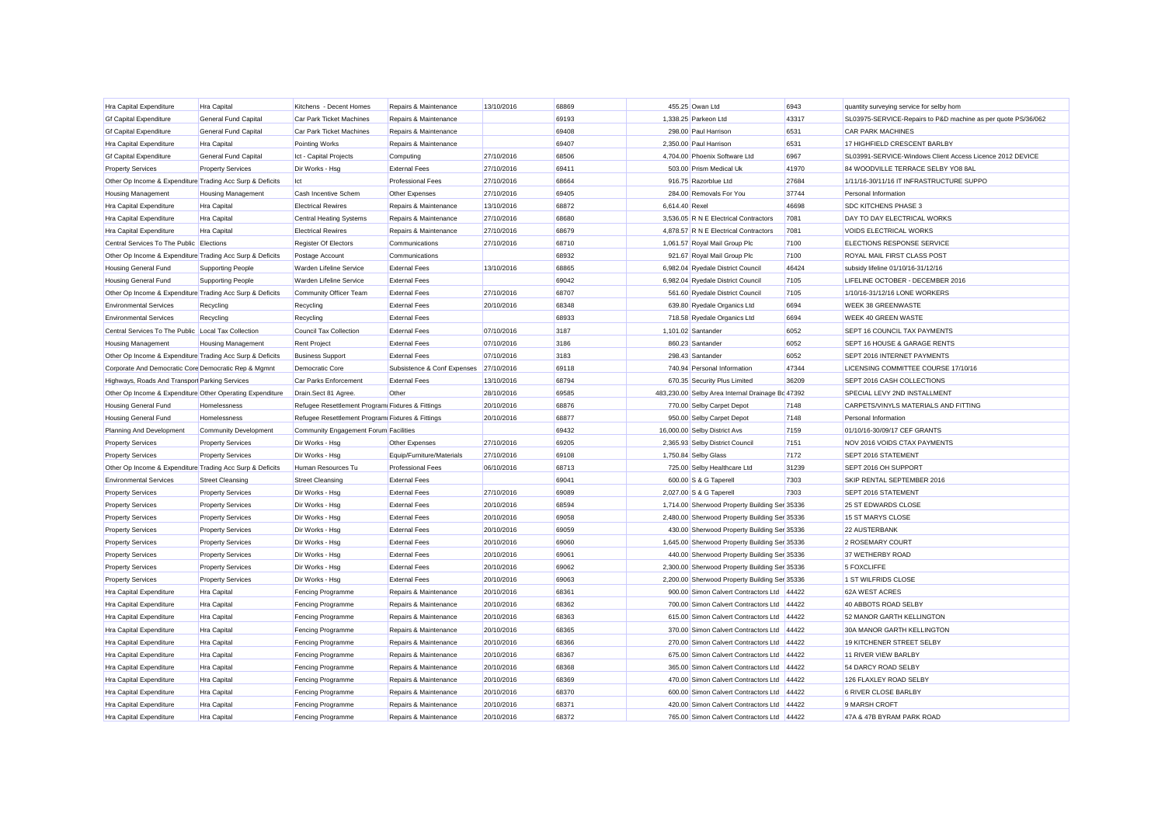| Hra Capital Expenditure                                   | Hra Capital                  | Kitchens - Decent Homes                          | Repairs & Maintenance       | 13/10/2016 | 68869 |                | 455.25 Owan Ltd                                  | 6943  | quantity surveying service for selby hom                      |
|-----------------------------------------------------------|------------------------------|--------------------------------------------------|-----------------------------|------------|-------|----------------|--------------------------------------------------|-------|---------------------------------------------------------------|
| <b>Gf Capital Expenditure</b>                             | <b>General Fund Capital</b>  | Car Park Ticket Machines                         | Repairs & Maintenance       |            | 69193 |                | 1,338.25 Parkeon Ltd                             | 43317 | SL03975-SERVICE-Repairs to P&D machine as per quote PS/36/062 |
| <b>Gf Capital Expenditure</b>                             | <b>General Fund Capital</b>  | Car Park Ticket Machines                         | Repairs & Maintenance       |            | 69408 |                | 298.00 Paul Harrison                             | 6531  | <b>CAR PARK MACHINES</b>                                      |
| Hra Capital Expenditure                                   | Hra Capital                  | <b>Pointing Works</b>                            | Repairs & Maintenance       |            | 69407 |                | 2,350.00 Paul Harrison                           | 6531  | 17 HIGHFIELD CRESCENT BARLBY                                  |
| <b>Gf Capital Expenditure</b>                             | <b>General Fund Capital</b>  | Ict - Capital Projects                           | Computing                   | 27/10/2016 | 68506 |                | 4,704.00 Phoenix Software Ltd                    | 6967  | SL03991-SERVICE-Windows Client Access Licence 2012 DEVICE     |
| <b>Property Services</b>                                  | <b>Property Services</b>     | Dir Works - Hsg                                  | <b>External Fees</b>        | 27/10/2016 | 69411 |                | 503.00 Prism Medical Uk                          | 41970 | 84 WOODVILLE TERRACE SELBY YO8 8AL                            |
| Other Op Income & Expenditure Trading Acc Surp & Deficits |                              | Ict                                              | <b>Professional Fees</b>    | 27/10/2016 | 68664 |                | 916.75 Razorblue Ltd                             | 27684 | 1/11/16-30/11/16 IT INFRASTRUCTURE SUPPO                      |
| <b>Housing Management</b>                                 | <b>Housing Management</b>    | Cash Incentive Schem                             | Other Expenses              | 27/10/2016 | 69405 |                | 284.00 Removals For You                          | 37744 | Personal Information                                          |
| Hra Capital Expenditure                                   | Hra Capital                  | <b>Electrical Rewires</b>                        | Repairs & Maintenance       | 13/10/2016 | 68872 | 6.614.40 Rexel |                                                  | 46698 | <b>SDC KITCHENS PHASE 3</b>                                   |
| Hra Capital Expenditure                                   | Hra Capital                  | Central Heating Systems                          | Repairs & Maintenance       | 27/10/2016 | 68680 |                | 3,536.05 R N E Electrical Contractors            | 7081  | DAY TO DAY ELECTRICAL WORKS                                   |
| Hra Capital Expenditure                                   | Hra Capital                  | <b>Electrical Rewires</b>                        | Repairs & Maintenance       | 27/10/2016 | 68679 |                | 4,878.57 R N E Electrical Contractors            | 7081  | VOIDS ELECTRICAL WORKS                                        |
| Central Services To The Public Elections                  |                              | Register Of Electors                             | Communications              | 27/10/2016 | 68710 |                | 1,061.57 Royal Mail Group Plc                    | 7100  | ELECTIONS RESPONSE SERVICE                                    |
| Other Op Income & Expenditure Trading Acc Surp & Deficits |                              | Postage Account                                  | Communications              |            | 68932 |                | 921.67 Royal Mail Group Plc                      | 7100  | ROYAL MAIL FIRST CLASS POST                                   |
| Housing General Fund                                      | <b>Supporting People</b>     | Warden Lifeline Service                          | <b>External Fees</b>        | 13/10/2016 | 68865 |                | 6,982.04 Ryedale District Council                | 46424 | subsidy lifeline 01/10/16-31/12/16                            |
| <b>Housing General Fund</b>                               | <b>Supporting People</b>     | Warden Lifeline Service                          | <b>External Fees</b>        |            | 69042 |                | 6,982.04 Ryedale District Council                | 7105  | LIFELINE OCTOBER - DECEMBER 2016                              |
| Other Op Income & Expenditure Trading Acc Surp & Deficits |                              | Community Officer Team                           | <b>External Fees</b>        | 27/10/2016 | 68707 |                | 561.60 Ryedale District Council                  | 7105  | 1/10/16-31/12/16 LONE WORKERS                                 |
| <b>Environmental Services</b>                             | Recycling                    | Recycling                                        | <b>External Fees</b>        | 20/10/2016 | 68348 |                | 639.80 Ryedale Organics Ltd                      | 6694  | <b>WEEK 38 GREENWASTE</b>                                     |
| <b>Environmental Services</b>                             | Recycling                    | Recycling                                        | <b>External Fees</b>        |            | 68933 |                | 718.58 Ryedale Organics Ltd                      | 6694  | WEEK 40 GREEN WASTE                                           |
| Central Services To The Public Local Tax Collection       |                              | Council Tax Collection                           | <b>External Fees</b>        | 07/10/2016 | 3187  |                | 1,101.02 Santander                               | 6052  | SEPT 16 COUNCIL TAX PAYMENTS                                  |
| <b>Housing Management</b>                                 | <b>Housing Management</b>    | <b>Rent Project</b>                              | <b>External Fees</b>        | 07/10/2016 | 3186  |                | 860.23 Santander                                 | 6052  | SEPT 16 HOUSE & GARAGE RENTS                                  |
| Other Op Income & Expenditure Trading Acc Surp & Deficits |                              | <b>Business Support</b>                          | <b>External Fees</b>        | 07/10/2016 | 3183  |                | 298.43 Santander                                 | 6052  | SEPT 2016 INTERNET PAYMENTS                                   |
| Corporate And Democratic Core Democratic Rep & Mgmnt      |                              | Democratic Core                                  | Subsistence & Conf Expenses | 27/10/2016 | 69118 |                | 740.94 Personal Information                      | 47344 | LICENSING COMMITTEE COURSE 17/10/16                           |
| Highways, Roads And Transpor Parking Services             |                              | Car Parks Enforcement                            | <b>External Fees</b>        | 13/10/2016 | 68794 |                | 670.35 Security Plus Limited                     | 36209 | SEPT 2016 CASH COLLECTIONS                                    |
| Other Op Income & Expenditure Other Operating Expenditure |                              | Drain.Sect 81 Agree.                             | Other                       | 28/10/2016 | 69585 |                | 483,230.00 Selby Area Internal Drainage Bc 47392 |       | SPECIAL LEVY 2ND INSTALLMENT                                  |
| <b>Housing General Fund</b>                               | Homelessness                 | Refugee Resettlement Program Fixtures & Fittings |                             | 20/10/2016 | 68876 |                | 770.00 Selby Carpet Depot                        | 7148  | CARPETS/VINYLS MATERIALS AND FITTING                          |
| <b>Housing General Fund</b>                               | Homelessness                 | Refugee Resettlement Program Fixtures & Fittings |                             | 20/10/2016 | 68877 |                | 950.00 Selby Carpet Depot                        | 7148  | Personal Information                                          |
| Planning And Development                                  | <b>Community Development</b> | Community Engagement Forum Facilities            |                             |            | 69432 |                | 16,000.00 Selby District Avs                     | 7159  | 01/10/16-30/09/17 CEF GRANTS                                  |
| <b>Property Services</b>                                  | <b>Property Services</b>     | Dir Works - Hsg                                  | Other Expenses              | 27/10/2016 | 69205 |                | 2,365.93 Selby District Council                  | 7151  | NOV 2016 VOIDS CTAX PAYMENTS                                  |
| <b>Property Services</b>                                  | <b>Property Services</b>     | Dir Works - Hsg                                  | Equip/Furniture/Materials   | 27/10/2016 | 69108 |                | 1,750.84 Selby Glass                             | 7172  | SEPT 2016 STATEMENT                                           |
| Other Op Income & Expenditure Trading Acc Surp & Deficits |                              | Human Resources Tu                               | <b>Professional Fees</b>    | 06/10/2016 | 68713 |                | 725.00 Selby Healthcare Ltd                      | 31239 | SEPT 2016 OH SUPPORT                                          |
| <b>Environmental Services</b>                             | <b>Street Cleansing</b>      | <b>Street Cleansing</b>                          | <b>External Fees</b>        |            | 69041 |                | 600.00 S & G Taperell                            | 7303  | SKIP RENTAL SEPTEMBER 2016                                    |
| <b>Property Services</b>                                  | <b>Property Services</b>     | Dir Works - Hsg                                  | <b>External Fees</b>        | 27/10/2016 | 69089 |                | 2,027.00 S & G Taperell                          | 7303  | SEPT 2016 STATEMENT                                           |
| <b>Property Services</b>                                  | <b>Property Services</b>     | Dir Works - Hsg                                  | <b>External Fees</b>        | 20/10/2016 | 68594 |                | 1,714.00 Sherwood Property Building Ser 35336    |       | 25 ST EDWARDS CLOSE                                           |
| <b>Property Services</b>                                  | <b>Property Services</b>     | Dir Works - Hsg                                  | <b>External Fees</b>        | 20/10/2016 | 69058 |                | 2,480.00 Sherwood Property Building Ser 35336    |       | 15 ST MARYS CLOSE                                             |
| <b>Property Services</b>                                  | <b>Property Services</b>     | Dir Works - Hsg                                  | <b>External Fees</b>        | 20/10/2016 | 69059 |                | 430.00 Sherwood Property Building Ser 35336      |       | 22 AUSTERBANK                                                 |
| <b>Property Services</b>                                  | <b>Property Services</b>     | Dir Works - Hsg                                  | <b>External Fees</b>        | 20/10/2016 | 69060 |                | 1,645.00 Sherwood Property Building Ser 35336    |       | 2 ROSEMARY COURT                                              |
| <b>Property Services</b>                                  | <b>Property Services</b>     | Dir Works - Hsg                                  | <b>External Fees</b>        | 20/10/2016 | 69061 |                | 440.00 Sherwood Property Building Ser 35336      |       | 37 WETHERBY ROAD                                              |
| <b>Property Services</b>                                  | <b>Property Services</b>     | Dir Works - Hsg                                  | <b>External Fees</b>        | 20/10/2016 | 69062 |                | 2,300.00 Sherwood Property Building Ser 35336    |       | 5 FOXCLIFFE                                                   |
| <b>Property Services</b>                                  | <b>Property Services</b>     | Dir Works - Hsg                                  | <b>External Fees</b>        | 20/10/2016 | 69063 |                | 2,200.00 Sherwood Property Building Ser 35336    |       | 1 ST WILFRIDS CLOSE                                           |
| Hra Capital Expenditure                                   | Hra Capital                  | <b>Fencing Programme</b>                         | Repairs & Maintenance       | 20/10/2016 | 68361 |                | 900.00 Simon Calvert Contractors Ltd 44422       |       | 62A WEST ACRES                                                |
| Hra Capital Expenditure                                   | Hra Capital                  | <b>Fencing Programme</b>                         | Repairs & Maintenance       | 20/10/2016 | 68362 |                | 700.00 Simon Calvert Contractors Ltd             | 44422 | 40 ABBOTS ROAD SELBY                                          |
| Hra Capital Expenditure                                   | Hra Capital                  | <b>Fencing Programme</b>                         | Repairs & Maintenance       | 20/10/2016 | 68363 |                | 615.00 Simon Calvert Contractors Ltd 44422       |       | 52 MANOR GARTH KELLINGTON                                     |
| Hra Capital Expenditure                                   | Hra Capital                  | <b>Fencing Programme</b>                         | Repairs & Maintenance       | 20/10/2016 | 68365 |                | 370.00 Simon Calvert Contractors Ltd             | 44422 | 30A MANOR GARTH KELLINGTON                                    |
| Hra Capital Expenditure                                   | Hra Capital                  | <b>Fencing Programme</b>                         | Repairs & Maintenance       | 20/10/2016 | 68366 |                | 270.00 Simon Calvert Contractors Ltd             | 44422 | 19 KITCHENER STREET SELBY                                     |
| Hra Capital Expenditure                                   | Hra Capital                  | <b>Fencing Programme</b>                         | Repairs & Maintenance       | 20/10/2016 | 68367 |                | 675.00 Simon Calvert Contractors Ltd             | 44422 | 11 RIVER VIEW BARLBY                                          |
| Hra Capital Expenditure                                   | Hra Capital                  | <b>Fencing Programme</b>                         | Repairs & Maintenance       | 20/10/2016 | 68368 |                | 365.00 Simon Calvert Contractors Ltd             | 44422 | 54 DARCY ROAD SELBY                                           |
| Hra Capital Expenditure                                   | Hra Capital                  | <b>Fencing Programme</b>                         | Repairs & Maintenance       | 20/10/2016 | 68369 |                | 470.00 Simon Calvert Contractors Ltd             | 44422 | 126 FLAXLEY ROAD SELBY                                        |
| Hra Capital Expenditure                                   | Hra Capital                  | <b>Fencing Programme</b>                         | Repairs & Maintenance       | 20/10/2016 | 68370 |                | 600.00 Simon Calvert Contractors Ltd             | 44422 | 6 RIVER CLOSE BARLBY                                          |
| Hra Capital Expenditure                                   | Hra Capital                  | <b>Fencing Programme</b>                         | Repairs & Maintenance       | 20/10/2016 | 68371 |                | 420.00 Simon Calvert Contractors Ltd 44422       |       | 9 MARSH CROFT                                                 |
| Hra Capital Expenditure                                   | Hra Capital                  | <b>Fencing Programme</b>                         | Repairs & Maintenance       | 20/10/2016 | 68372 |                | 765.00 Simon Calvert Contractors Ltd 44422       |       | 47A & 47B BYRAM PARK ROAD                                     |
|                                                           |                              |                                                  |                             |            |       |                |                                                  |       |                                                               |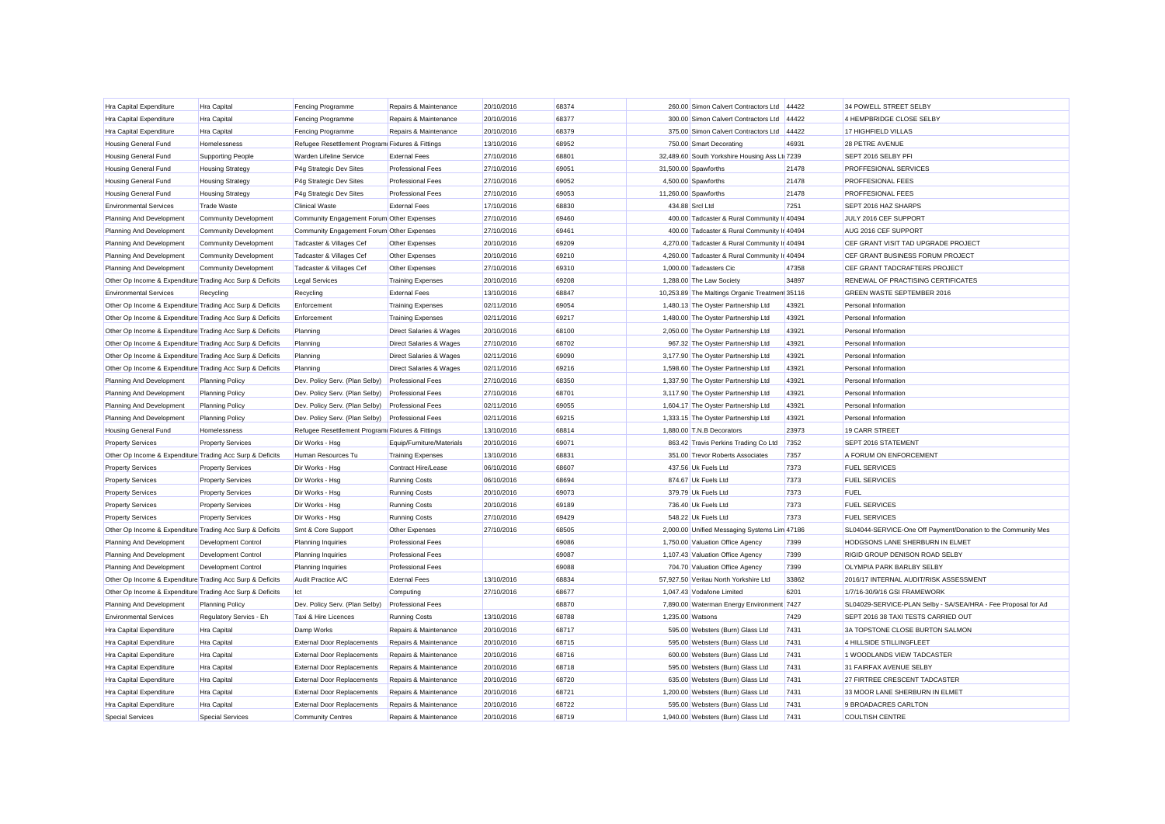| <b>Hra Capital Expenditure</b>                            | Hra Capital                  | <b>Fencing Programme</b>                         | Repairs & Maintenance     | 20/10/2016 | 68374 |                  | 260.00 Simon Calvert Contractors Ltd 44422    |       | 34 POWELL STREET SELBY                                        |
|-----------------------------------------------------------|------------------------------|--------------------------------------------------|---------------------------|------------|-------|------------------|-----------------------------------------------|-------|---------------------------------------------------------------|
| Hra Capital Expenditure                                   | Hra Capital                  | <b>Fencing Programme</b>                         | Repairs & Maintenance     | 20/10/2016 | 68377 |                  | 300.00 Simon Calvert Contractors Ltd 44422    |       | 4 HEMPBRIDGE CLOSE SELBY                                      |
| <b>Hra Capital Expenditure</b>                            | Hra Capital                  | <b>Fencing Programme</b>                         | Repairs & Maintenance     | 20/10/2016 | 68379 |                  | 375.00 Simon Calvert Contractors Ltd 44422    |       | 17 HIGHFIELD VILLAS                                           |
| <b>Housing General Fund</b>                               | Homelessness                 | Refugee Resettlement Program Fixtures & Fittings |                           | 13/10/2016 | 68952 |                  | 750.00 Smart Decorating                       | 46931 | 28 PETRE AVENUE                                               |
| <b>Housing General Fund</b>                               | <b>Supporting People</b>     | Warden Lifeline Service                          | <b>External Fees</b>      | 27/10/2016 | 68801 |                  | 32,489.60 South Yorkshire Housing Ass Lt 7239 |       | SEPT 2016 SELBY PFI                                           |
| <b>Housing General Fund</b>                               | <b>Housing Strategy</b>      | P4g Strategic Dev Sites                          | Professional Fees         | 27/10/2016 | 69051 |                  | 31,500.00 Spawforths                          | 21478 | PROFFESIONAL SERVICES                                         |
| <b>Housing General Fund</b>                               | <b>Housing Strategy</b>      | P4g Strategic Dev Sites                          | Professional Fees         | 27/10/2016 | 69052 |                  | 4,500.00 Spawforths                           | 21478 | PROFFESIONAL FEES                                             |
| <b>Housing General Fund</b>                               | <b>Housing Strategy</b>      | P4g Strategic Dev Sites                          | Professional Fees         | 27/10/2016 | 69053 |                  | 11,260.00 Spawforths                          | 21478 | PROFFESIONAL FEES                                             |
| <b>Environmental Services</b>                             | <b>Trade Waste</b>           | <b>Clinical Waste</b>                            | <b>External Fees</b>      | 17/10/2016 | 68830 | 434.88 Srcl Ltd  |                                               | 7251  | SEPT 2016 HAZ SHARPS                                          |
| Planning And Development                                  | <b>Community Development</b> | Community Engagement Forum Other Expenses        |                           | 27/10/2016 | 69460 |                  | 400.00 Tadcaster & Rural Community Ir 40494   |       | JULY 2016 CEF SUPPORT                                         |
| Planning And Development                                  | <b>Community Development</b> | Community Engagement Forum Other Expenses        |                           | 27/10/2016 | 69461 |                  | 400.00 Tadcaster & Rural Community Ir 40494   |       | AUG 2016 CEF SUPPORT                                          |
| Planning And Development                                  | <b>Community Development</b> | Tadcaster & Villages Cef                         | Other Expenses            | 20/10/2016 | 69209 |                  | 4,270.00 Tadcaster & Rural Community Ir 40494 |       | CEF GRANT VISIT TAD UPGRADE PROJECT                           |
| Planning And Development                                  | <b>Community Development</b> | Tadcaster & Villages Cef                         | Other Expenses            | 20/10/2016 | 69210 |                  | 4,260.00 Tadcaster & Rural Community Ir 40494 |       | CEF GRANT BUSINESS FORUM PROJECT                              |
| Planning And Development                                  | <b>Community Development</b> | Tadcaster & Villages Cef                         | Other Expenses            | 27/10/2016 | 69310 |                  | 1,000.00 Tadcasters Cic                       | 47358 | CEF GRANT TADCRAFTERS PROJECT                                 |
| Other Op Income & Expenditure Trading Acc Surp & Deficits |                              | Legal Services                                   | <b>Training Expenses</b>  | 20/10/2016 | 69208 |                  | 1,288.00 The Law Society                      | 34897 | RENEWAL OF PRACTISING CERTIFICATES                            |
| <b>Environmental Services</b>                             | Recycling                    | Recycling                                        | <b>External Fees</b>      | 13/10/2016 | 68847 |                  | 10,253.89 The Maltings Organic Treatmen 35116 |       | <b>GREEN WASTE SEPTEMBER 2016</b>                             |
| Other Op Income & Expenditure Trading Acc Surp & Deficits |                              | Enforcement                                      | <b>Training Expenses</b>  | 02/11/2016 | 69054 |                  | 1,480.13 The Oyster Partnership Ltd           | 43921 | Personal Information                                          |
| Other Op Income & Expenditure Trading Acc Surp & Deficits |                              | Enforcement                                      | <b>Training Expenses</b>  | 02/11/2016 | 69217 |                  | 1,480.00 The Oyster Partnership Ltd           | 43921 | Personal Information                                          |
| Other Op Income & Expenditure Trading Acc Surp & Deficits |                              | Planning                                         | Direct Salaries & Wages   | 20/10/2016 | 68100 |                  | 2,050.00 The Oyster Partnership Ltd           | 43921 | Personal Information                                          |
| Other Op Income & Expenditure Trading Acc Surp & Deficits |                              | Planning                                         | Direct Salaries & Wages   | 27/10/2016 | 68702 |                  | 967.32 The Oyster Partnership Ltd             | 43921 | Personal Information                                          |
| Other Op Income & Expenditure Trading Acc Surp & Deficits |                              | Planning                                         | Direct Salaries & Wages   | 02/11/2016 | 69090 |                  | 3,177.90 The Oyster Partnership Ltd           | 43921 | Personal Information                                          |
| Other Op Income & Expenditure Trading Acc Surp & Deficits |                              | Planning                                         | Direct Salaries & Wages   | 02/11/2016 | 69216 |                  | 1,598.60 The Oyster Partnership Ltd           | 43921 | Personal Information                                          |
| Planning And Development                                  | <b>Planning Policy</b>       | Dev. Policy Serv. (Plan Selby)                   | <b>Professional Fees</b>  | 27/10/2016 | 68350 |                  | 1,337.90 The Oyster Partnership Ltd           | 43921 | Personal Information                                          |
| Planning And Development                                  | <b>Planning Policy</b>       | Dev. Policy Serv. (Plan Selby)                   | <b>Professional Fees</b>  | 27/10/2016 | 68701 |                  | 3,117.90 The Oyster Partnership Ltd           | 43921 | Personal Information                                          |
| Planning And Development                                  | <b>Planning Policy</b>       | Dev. Policy Serv. (Plan Selby)                   | <b>Professional Fees</b>  | 02/11/2016 | 69055 |                  | 1,604.17 The Oyster Partnership Ltd           | 43921 | Personal Information                                          |
| Planning And Development                                  | <b>Planning Policy</b>       | Dev. Policy Serv. (Plan Selby)                   | <b>Professional Fees</b>  | 02/11/2016 | 69215 |                  | 1,333.15 The Oyster Partnership Ltd           | 43921 | Personal Information                                          |
| <b>Housing General Fund</b>                               | Homelessness                 | Refugee Resettlement Program Fixtures & Fittings |                           | 13/10/2016 | 68814 |                  | 1,880.00 T.N.B Decorators                     | 23973 | 19 CARR STREET                                                |
| <b>Property Services</b>                                  | <b>Property Services</b>     | Dir Works - Hsg                                  | Equip/Furniture/Materials | 20/10/2016 | 69071 |                  | 863.42 Travis Perkins Trading Co Ltd          | 7352  | SEPT 2016 STATEMENT                                           |
| Other Op Income & Expenditure Trading Acc Surp & Deficits |                              | Human Resources Tu                               | <b>Training Expenses</b>  | 13/10/2016 | 68831 |                  | 351.00 Trevor Roberts Associates              | 7357  | A FORUM ON ENFORCEMENT                                        |
| <b>Property Services</b>                                  | <b>Property Services</b>     | Dir Works - Hsa                                  | Contract Hire/Lease       | 06/10/2016 | 68607 |                  | 437.56 Uk Fuels Ltd                           | 7373  | <b>FUEL SERVICES</b>                                          |
| <b>Property Services</b>                                  | <b>Property Services</b>     | Dir Works - Hsg                                  | <b>Running Costs</b>      | 06/10/2016 | 68694 |                  | 874.67 Uk Fuels Ltd                           | 7373  | <b>FUEL SERVICES</b>                                          |
| <b>Property Services</b>                                  | <b>Property Services</b>     | Dir Works - Hsg                                  | <b>Running Costs</b>      | 20/10/2016 | 69073 |                  | 379.79 Uk Fuels Ltd                           | 7373  | <b>FUEL</b>                                                   |
| <b>Property Services</b>                                  | <b>Property Services</b>     | Dir Works - Hsg                                  | <b>Running Costs</b>      | 20/10/2016 | 69189 |                  | 736.40 Uk Fuels Ltd                           | 7373  | <b>FUEL SERVICES</b>                                          |
| <b>Property Services</b>                                  | <b>Property Services</b>     | Dir Works - Hsg                                  | <b>Running Costs</b>      | 27/10/2016 | 69429 |                  | 548.22 Uk Fuels Ltd                           | 7373  | <b>FUEL SERVICES</b>                                          |
| Other Op Income & Expenditure Trading Acc Surp & Deficits |                              | Smt & Core Support                               | Other Expenses            | 27/10/2016 | 68505 |                  | 2,000.00 Unified Messaging Systems Lim 47186  |       | SL04044-SERVICE-One Off Payment/Donation to the Community Mes |
| Planning And Development                                  | <b>Development Control</b>   | Planning Inquiries                               | <b>Professional Fees</b>  |            | 69086 |                  | 1,750.00 Valuation Office Agency              | 7399  | HODGSONS LANE SHERBURN IN ELMET                               |
| Planning And Development                                  | <b>Development Control</b>   | <b>Planning Inquiries</b>                        | <b>Professional Fees</b>  |            | 69087 |                  | 1,107.43 Valuation Office Agency              | 7399  | RIGID GROUP DENISON ROAD SELBY                                |
| Planning And Development                                  | <b>Development Control</b>   | <b>Planning Inquiries</b>                        | <b>Professional Fees</b>  |            | 69088 |                  | 704.70 Valuation Office Agency                | 7399  | OLYMPIA PARK BARLBY SELBY                                     |
| Other Op Income & Expenditure Trading Acc Surp & Deficits |                              | Audit Practice A/C                               | <b>External Fees</b>      | 13/10/2016 | 68834 |                  | 57.927.50 Veritau North Yorkshire Ltd         | 33862 | 2016/17 INTERNAL AUDIT/RISK ASSESSMENT                        |
| Other Op Income & Expenditure Trading Acc Surp & Deficits |                              | lct                                              | Computing                 | 27/10/2016 | 68677 |                  | 1.047.43 Vodafone Limited                     | 6201  | 1/7/16-30/9/16 GSI FRAMEWORK                                  |
| Planning And Development                                  | <b>Planning Policy</b>       | Dev. Policy Serv. (Plan Selby)                   | <b>Professional Fees</b>  |            | 68870 |                  | 7,890.00 Waterman Energy Environment 7427     |       | SL04029-SERVICE-PLAN Selby - SA/SEA/HRA - Fee Proposal for Ad |
| <b>Environmental Services</b>                             | Regulatory Servics - Eh      | Taxi & Hire Licences                             | <b>Running Costs</b>      | 13/10/2016 | 68788 | 1,235.00 Watsons |                                               | 7429  | SEPT 2016 38 TAXI TESTS CARRIED OUT                           |
| Hra Capital Expenditure                                   | Hra Capital                  | Damp Works                                       | Repairs & Maintenance     | 20/10/2016 | 68717 |                  | 595.00 Websters (Burn) Glass Ltd              | 7431  | 3A TOPSTONE CLOSE BURTON SALMON                               |
| <b>Hra Capital Expenditure</b>                            | Hra Capital                  | <b>External Door Replacements</b>                | Repairs & Maintenance     | 20/10/2016 | 68715 |                  | 595.00 Websters (Burn) Glass Ltd              | 7431  | 4 HILLSIDE STILLINGFLEET                                      |
| <b>Hra Capital Expenditure</b>                            | Hra Capital                  | <b>External Door Replacements</b>                | Repairs & Maintenance     | 20/10/2016 | 68716 |                  | 600.00 Websters (Burn) Glass Ltd              | 7431  | 1 WOODLANDS VIEW TADCASTER                                    |
| <b>Hra Capital Expenditure</b>                            | Hra Capital                  | <b>External Door Replacements</b>                | Repairs & Maintenance     | 20/10/2016 | 68718 |                  | 595.00 Websters (Burn) Glass Ltd              | 7431  | 31 FAIRFAX AVENUE SELBY                                       |
| <b>Hra Capital Expenditure</b>                            | Hra Capital                  | <b>External Door Replacements</b>                | Repairs & Maintenance     | 20/10/2016 | 68720 |                  | 635.00 Websters (Burn) Glass Ltd              | 7431  | 27 FIRTREE CRESCENT TADCASTER                                 |
| <b>Hra Capital Expenditure</b>                            | Hra Capital                  | <b>External Door Replacements</b>                | Repairs & Maintenance     | 20/10/2016 | 68721 |                  | 1,200.00 Websters (Burn) Glass Ltd            | 7431  | 33 MOOR LANE SHERBURN IN ELMET                                |
| Hra Capital Expenditure                                   | Hra Capital                  | <b>External Door Replacements</b>                | Repairs & Maintenance     | 20/10/2016 | 68722 |                  | 595.00 Websters (Burn) Glass Ltd              | 7431  | 9 BROADACRES CARLTON                                          |
| <b>Special Services</b>                                   | <b>Special Services</b>      | <b>Community Centres</b>                         | Repairs & Maintenance     | 20/10/2016 | 68719 |                  | 1.940.00 Websters (Burn) Glass Ltd            | 7431  | <b>COULTISH CENTRE</b>                                        |
|                                                           |                              |                                                  |                           |            |       |                  |                                               |       |                                                               |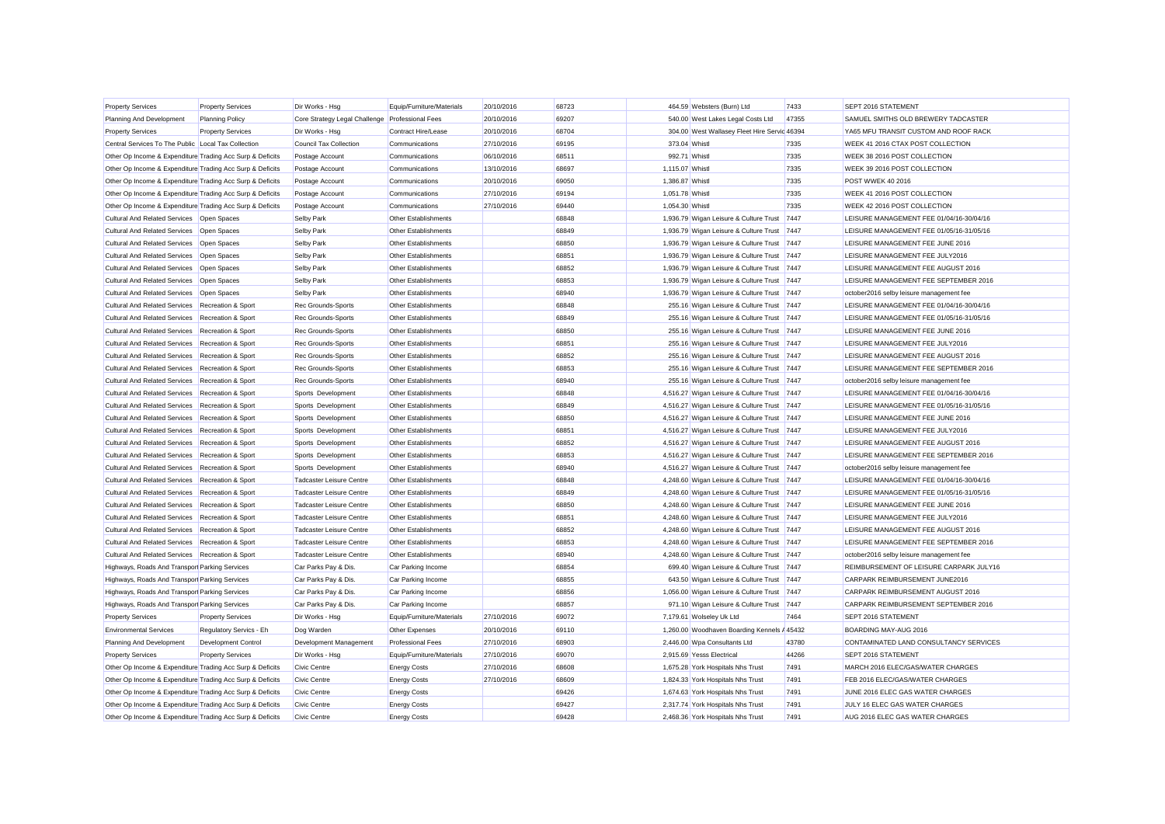| <b>Property Services</b>                                  | <b>Property Services</b>   | Dir Works - Hsg                                 | Equip/Furniture/Materials | 20/10/2016 | 68723 |                 | 464.59 Websters (Burn) Ltd                   | 7433  | SEPT 2016 STATEMENT                      |
|-----------------------------------------------------------|----------------------------|-------------------------------------------------|---------------------------|------------|-------|-----------------|----------------------------------------------|-------|------------------------------------------|
| Planning And Development                                  | <b>Planning Policy</b>     | Core Strategy Legal Challenge Professional Fees |                           | 20/10/2016 | 69207 |                 | 540.00 West Lakes Legal Costs Ltd            | 47355 | SAMUEL SMITHS OLD BREWERY TADCASTER      |
| <b>Property Services</b>                                  | <b>Property Services</b>   | Dir Works - Hsg                                 | Contract Hire/Lease       | 20/10/2016 | 68704 |                 | 304.00 West Wallasey Fleet Hire Servic 46394 |       | YA65 MFU TRANSIT CUSTOM AND ROOF RACK    |
| Central Services To The Public Local Tax Collection       |                            | Council Tax Collection                          | Communications            | 27/10/2016 | 69195 | 373.04 Whistl   |                                              | 7335  | WEEK 41 2016 CTAX POST COLLECTION        |
| Other Op Income & Expenditure Trading Acc Surp & Deficits |                            | Postage Account                                 | Communications            | 06/10/2016 | 68511 | 992.71 Whistl   |                                              | 7335  | WEEK 38 2016 POST COLLECTION             |
| Other Op Income & Expenditure Trading Acc Surp & Deficits |                            | Postage Account                                 | Communications            | 13/10/2016 | 68697 | 1,115.07 Whistl |                                              | 7335  | WEEK 39 2016 POST COLLECTION             |
| Other Op Income & Expenditure Trading Acc Surp & Deficits |                            | Postage Account                                 | Communications            | 20/10/2016 | 69050 | 1,386.87 Whistl |                                              | 7335  | <b>POST WWEK 40 2016</b>                 |
| Other Op Income & Expenditure Trading Acc Surp & Deficits |                            | Postage Account                                 | Communications            | 27/10/2016 | 69194 | 1,051.78 Whistl |                                              | 7335  | WEEK 41 2016 POST COLLECTION             |
| Other Op Income & Expenditure Trading Acc Surp & Deficits |                            | Postage Account                                 | Communications            | 27/10/2016 | 69440 | 1,054.30 Whistl |                                              | 7335  | WEEK 42 2016 POST COLLECTION             |
| Cultural And Related Services Open Spaces                 |                            | Selby Park                                      | Other Establishments      |            | 68848 |                 | 1,936.79 Wigan Leisure & Culture Trust 7447  |       | LEISURE MANAGEMENT FEE 01/04/16-30/04/16 |
| Cultural And Related Services Open Spaces                 |                            | Selby Park                                      | Other Establishments      |            | 68849 |                 | 1,936.79 Wigan Leisure & Culture Trust       | 7447  | LEISURE MANAGEMENT FEE 01/05/16-31/05/16 |
| Cultural And Related Services Open Spaces                 |                            | Selby Park                                      | Other Establishments      |            | 68850 |                 | 1,936.79 Wigan Leisure & Culture Trust 7447  |       | LEISURE MANAGEMENT FEE JUNE 2016         |
| <b>Cultural And Related Services</b>                      | Open Spaces                | Selby Park                                      | Other Establishments      |            | 68851 |                 | 1,936.79 Wigan Leisure & Culture Trust 7447  |       | LEISURE MANAGEMENT FEE JULY2016          |
| <b>Cultural And Related Services</b>                      | Open Spaces                | Selby Park                                      | Other Establishments      |            | 68852 |                 | 1,936.79 Wigan Leisure & Culture Trust 7447  |       | LEISURE MANAGEMENT FEE AUGUST 2016       |
| <b>Cultural And Related Services</b>                      | Open Spaces                | Selby Park                                      | Other Establishments      |            | 68853 |                 | 1,936.79 Wigan Leisure & Culture Trust       | 7447  | LEISURE MANAGEMENT FEE SEPTEMBER 2016    |
| Cultural And Related Services Open Spaces                 |                            | Selby Park                                      | Other Establishments      |            | 68940 |                 | 1,936.79 Wigan Leisure & Culture Trust 7447  |       | october2016 selby leisure management fee |
| <b>Cultural And Related Services</b>                      | Recreation & Sport         | Rec Grounds-Sports                              | Other Establishments      |            | 68848 |                 | 255.16 Wigan Leisure & Culture Trust 7447    |       | LEISURE MANAGEMENT FEE 01/04/16-30/04/16 |
| <b>Cultural And Related Services</b>                      | Recreation & Sport         | Rec Grounds-Sports                              | Other Establishments      |            | 68849 |                 | 255.16 Wigan Leisure & Culture Trust         | 7447  | LEISURE MANAGEMENT FEE 01/05/16-31/05/16 |
| <b>Cultural And Related Services</b>                      | Recreation & Sport         | Rec Grounds-Sports                              | Other Establishments      |            | 68850 |                 | 255.16 Wigan Leisure & Culture Trust         | 7447  | LEISURE MANAGEMENT FEE JUNE 2016         |
| <b>Cultural And Related Services</b>                      | Recreation & Sport         | Rec Grounds-Sports                              | Other Establishments      |            | 68851 |                 | 255.16 Wigan Leisure & Culture Trust 7447    |       | LEISURE MANAGEMENT FEE JULY2016          |
| <b>Cultural And Related Services</b>                      | Recreation & Sport         | <b>Rec Grounds-Sports</b>                       | Other Establishments      |            | 68852 |                 | 255.16 Wigan Leisure & Culture Trust 7447    |       | LEISURE MANAGEMENT FEE AUGUST 2016       |
| <b>Cultural And Related Services</b>                      | Recreation & Sport         | <b>Rec Grounds-Sports</b>                       | Other Establishments      |            | 68853 |                 | 255.16 Wigan Leisure & Culture Trust         | 7447  | LEISURE MANAGEMENT FEE SEPTEMBER 2016    |
| <b>Cultural And Related Services</b>                      | Recreation & Sport         | <b>Rec Grounds-Sports</b>                       | Other Establishments      |            | 68940 |                 | 255.16 Wigan Leisure & Culture Trust         | 7447  | october2016 selby leisure management fee |
| <b>Cultural And Related Services</b>                      | Recreation & Sport         | Sports Development                              | Other Establishments      |            | 68848 |                 | 4,516.27 Wigan Leisure & Culture Trust 7447  |       | LEISURE MANAGEMENT FEE 01/04/16-30/04/16 |
| <b>Cultural And Related Services</b>                      | Recreation & Sport         | Sports Development                              | Other Establishments      |            | 68849 |                 | 4,516.27 Wigan Leisure & Culture Trust 7447  |       | LEISURE MANAGEMENT FEE 01/05/16-31/05/16 |
| <b>Cultural And Related Services</b>                      | Recreation & Sport         | Sports Development                              | Other Establishments      |            | 68850 |                 | 4,516.27 Wigan Leisure & Culture Trust 7447  |       | LEISURE MANAGEMENT FEE JUNE 2016         |
| <b>Cultural And Related Services</b>                      | Recreation & Sport         | Sports Development                              | Other Establishments      |            | 68851 |                 | 4,516.27 Wigan Leisure & Culture Trust 7447  |       | LEISURE MANAGEMENT FEE JULY2016          |
| <b>Cultural And Related Services</b>                      | Recreation & Sport         | Sports Development                              | Other Establishments      |            | 68852 |                 | 4,516.27 Wigan Leisure & Culture Trust 7447  |       | LEISURE MANAGEMENT FEE AUGUST 2016       |
| <b>Cultural And Related Services</b>                      | Recreation & Sport         | Sports Development                              | Other Establishments      |            | 68853 |                 | 4,516.27 Wigan Leisure & Culture Trust 7447  |       | LEISURE MANAGEMENT FEE SEPTEMBER 2016    |
| <b>Cultural And Related Services</b>                      | Recreation & Sport         | Sports Development                              | Other Establishments      |            | 68940 |                 | 4,516.27 Wigan Leisure & Culture Trust       | 7447  | october2016 selby leisure management fee |
| <b>Cultural And Related Services</b>                      | Recreation & Sport         | <b>Tadcaster Leisure Centre</b>                 | Other Establishments      |            | 68848 |                 | 4,248.60 Wigan Leisure & Culture Trust       | 7447  | LEISURE MANAGEMENT FEE 01/04/16-30/04/16 |
| <b>Cultural And Related Services</b>                      | Recreation & Sport         | Tadcaster Leisure Centre                        | Other Establishments      |            | 68849 |                 | 4,248.60 Wigan Leisure & Culture Trust 7447  |       | LEISURE MANAGEMENT FEE 01/05/16-31/05/16 |
| <b>Cultural And Related Services</b>                      | Recreation & Sport         | <b>Tadcaster Leisure Centre</b>                 | Other Establishments      |            | 68850 |                 | 4,248.60 Wigan Leisure & Culture Trust       | 7447  | LEISURE MANAGEMENT FEE JUNE 2016         |
| <b>Cultural And Related Services</b>                      | Recreation & Sport         | Tadcaster Leisure Centre                        | Other Establishments      |            | 68851 |                 | 4,248.60 Wigan Leisure & Culture Trust 7447  |       | LEISURE MANAGEMENT FEE JULY2016          |
| <b>Cultural And Related Services</b>                      | Recreation & Sport         | <b>Tadcaster Leisure Centre</b>                 | Other Establishments      |            | 68852 |                 | 4,248.60 Wigan Leisure & Culture Trust       | 7447  | LEISURE MANAGEMENT FEE AUGUST 2016       |
| <b>Cultural And Related Services</b>                      | Recreation & Sport         | Tadcaster Leisure Centre                        | Other Establishments      |            | 68853 |                 | 4,248.60 Wigan Leisure & Culture Trust 7447  |       | LEISURE MANAGEMENT FEE SEPTEMBER 2016    |
| <b>Cultural And Related Services</b>                      | Recreation & Sport         | Tadcaster Leisure Centre                        | Other Establishments      |            | 68940 |                 | 4,248.60 Wigan Leisure & Culture Trust 7447  |       | october2016 selby leisure management fee |
| Highways, Roads And Transpor Parking Services             |                            | Car Parks Pay & Dis.                            | Car Parking Income        |            | 68854 |                 | 699.40 Wigan Leisure & Culture Trust 7447    |       | REIMBURSEMENT OF LEISURE CARPARK JULY16  |
| Highways, Roads And Transpor Parking Services             |                            | Car Parks Pay & Dis.                            | Car Parking Income        |            | 68855 |                 | 643.50 Wigan Leisure & Culture Trust 7447    |       | CARPARK REIMBURSEMENT JUNE2016           |
| Highways, Roads And Transpor Parking Services             |                            | Car Parks Pay & Dis.                            | Car Parking Income        |            | 68856 |                 | 1,056.00 Wigan Leisure & Culture Trust 7447  |       | CARPARK REIMBURSEMENT AUGUST 2016        |
| Highways, Roads And Transpor Parking Services             |                            | Car Parks Pay & Dis.                            | Car Parking Income        |            | 68857 |                 | 971.10 Wigan Leisure & Culture Trust 7447    |       | CARPARK REIMBURSEMENT SEPTEMBER 2016     |
| <b>Property Services</b>                                  | <b>Property Services</b>   | Dir Works - Hsg                                 | Equip/Furniture/Materials | 27/10/2016 | 69072 |                 | 7,179.61 Wolseley Uk Ltd                     | 7464  | SEPT 2016 STATEMENT                      |
| <b>Environmental Services</b>                             | Regulatory Servics - Eh    | Dog Warden                                      | Other Expenses            | 20/10/2016 | 69110 |                 | 1,260.00 Woodhaven Boarding Kennels / 45432  |       | BOARDING MAY-AUG 2016                    |
| Planning And Development                                  | <b>Development Control</b> | Development Management                          | <b>Professional Fees</b>  | 27/10/2016 | 68903 |                 | 2,446.00 Wpa Consultants Ltd                 | 43780 | CONTAMINATED LAND CONSULTANCY SERVICES   |
| <b>Property Services</b>                                  | <b>Property Services</b>   | Dir Works - Hsg                                 | Equip/Furniture/Materials | 27/10/2016 | 69070 |                 | 2,915.69 Yesss Electrical                    | 44266 | SEPT 2016 STATEMENT                      |
| Other Op Income & Expenditure Trading Acc Surp & Deficits |                            | Civic Centre                                    | <b>Energy Costs</b>       | 27/10/2016 | 68608 |                 | 1,675.28 York Hospitals Nhs Trust            | 7491  | MARCH 2016 ELEC/GAS/WATER CHARGES        |
| Other Op Income & Expenditure Trading Acc Surp & Deficits |                            | Civic Centre                                    | <b>Energy Costs</b>       | 27/10/2016 | 68609 |                 | 1,824.33 York Hospitals Nhs Trust            | 7491  | FEB 2016 ELEC/GAS/WATER CHARGES          |
| Other Op Income & Expenditure Trading Acc Surp & Deficits |                            | <b>Civic Centre</b>                             | <b>Energy Costs</b>       |            | 69426 |                 | 1,674.63 York Hospitals Nhs Trust            | 7491  | JUNE 2016 ELEC GAS WATER CHARGES         |
| Other Op Income & Expenditure Trading Acc Surp & Deficits |                            | Civic Centre                                    | <b>Energy Costs</b>       |            | 69427 |                 | 2.317.74 York Hospitals Nhs Trust            | 7491  | JULY 16 ELEC GAS WATER CHARGES           |
| Other Op Income & Expenditure Trading Acc Surp & Deficits |                            | Civic Centre                                    | <b>Energy Costs</b>       |            | 69428 |                 | 2.468.36 York Hospitals Nhs Trust            | 7491  | AUG 2016 ELEC GAS WATER CHARGES          |